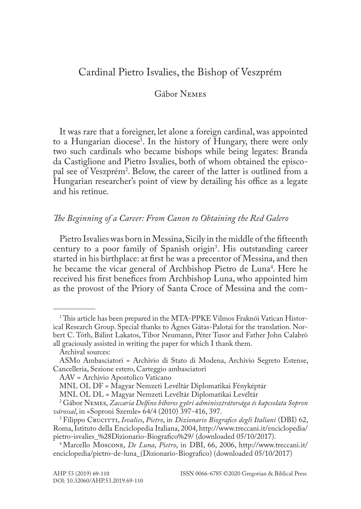# Cardinal Pietro Isvalies, the Bishop of Veszprém

# Gábor Nemes

It was rare that a foreigner, let alone a foreign cardinal, was appointed to a Hungarian diocese<sup>1</sup>. In the history of Hungary, there were only two such cardinals who became bishops while being legates: Branda da Castiglione and Pietro Isvalies, both of whom obtained the episcopal see of Veszprém2 . Below, the career of the latter is outlined from a Hungarian researcher's point of view by detailing his office as a legate and his retinue.

# *The Beginning of a Career: From Canon to Obtaining the Red Galero*

Pietro Isvalies was born in Messina, Sicily in the middle of the fifteenth century to a poor family of Spanish origin<sup>3</sup>. His outstanding career started in his birthplace: at first he was a precentor of Messina, and then he became the vicar general of Archbishop Pietro de Luna<sup>4</sup>. Here he received his first benefices from Archbishop Luna, who appointed him as the provost of the Priory of Santa Croce of Messina and the com-

<sup>&</sup>lt;sup>1</sup>This article has been prepared in the MTA-PPKE Vilmos Fraknói Vatican Historical Research Group. Special thanks to Ágnes Gátas-Palotai for the translation. Norbert C. Tóth, Bálint Lakatos, Tibor Neumann, Péter Tusor and Father John Calabrò all graciously assisted in writing the paper for which I thank them.

Archival sources:

ASMo Ambasciatori = Archivio di Stato di Modena, Archivio Segreto Estense, Cancelleria, Sezione estero, Carteggio ambasciatori

AAV = Archivio Apostolico Vaticano

MNL OL DF = Magyar Nemzeti Levéltár Diplomatikai Fényképtár

MNL OL DL = Magyar Nemzeti Levéltár Diplomatikai Levéltár

<sup>2</sup> Gábor Nemes, *Zaccaria Delfino bíboros győri adminisztrátorsága és kapcsolata Sopron várossal*, in «Soproni Szemle» 64/4 (2010) 397-416, 397.

<sup>3</sup> Filippo Crucitti, *Isvalies*, *Pietro*, in *Dizionario Biografico degli Italiani* (DBI) 62, Roma, Istituto della Enciclopedia Italiana, 2004, http://www.treccani.it/enciclopedia/ pietro-isvalies\_%28Dizionario-Biografico%29/ (downloaded 05/10/2017).

<sup>4</sup> Marcello Moscone, *De Luna*, *Pietro*, in DBI, 66, 2006, http://www.treccani.it/ enciclopedia/pietro-de-luna\_(Dizionario-Biografico) (downloaded 05/10/2017)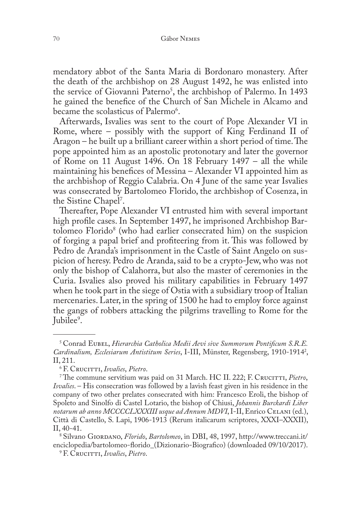mendatory abbot of the Santa Maria di Bordonaro monastery. After the death of the archbishop on 28 August 1492, he was enlisted into the service of Giovanni Paterno<sup>5</sup>, the archbishop of Palermo. In 1493 he gained the benefice of the Church of San Michele in Alcamo and became the scolasticus of Palermo<sup>6</sup>.

Afterwards, Isvalies was sent to the court of Pope Alexander VI in Rome, where – possibly with the support of King Ferdinand II of Aragon – he built up a brilliant career within a short period of time. The pope appointed him as an apostolic protonotary and later the governor of Rome on 11 August 1496. On 18 February 1497 – all the while maintaining his benefices of Messina – Alexander VI appointed him as the archbishop of Reggio Calabria. On 4 June of the same year Isvalies was consecrated by Bartolomeo Florido, the archbishop of Cosenza, in the Sistine Chapel'.

Thereafter, Pope Alexander VI entrusted him with several important high profile cases. In September 1497, he imprisoned Archbishop Bartolomeo Florido<sup>8</sup> (who had earlier consecrated him) on the suspicion of forging a papal brief and profiteering from it. This was followed by Pedro de Aranda's imprisonment in the Castle of Saint Angelo on suspicion of heresy. Pedro de Aranda, said to be a crypto-Jew, who was not only the bishop of Calahorra, but also the master of ceremonies in the Curia. Isvalies also proved his military capabilities in February 1497 when he took part in the siege of Ostia with a subsidiary troop of Italian mercenaries. Later, in the spring of 1500 he had to employ force against the gangs of robbers attacking the pilgrims travelling to Rome for the Jubilee<sup>9</sup>.

<sup>5</sup> Conrad Eubel, *Hierarchia Catholica Medii Aevi sive Summorum Pontificum S.R.E. Cardinalium, Ecclesiarum Antistitum Series*, I-III, Münster, Regensberg, 1910-19142 , II, 211.

<sup>6</sup> F. Crucitti, *Isvalies*, *Pietro*.

<sup>&</sup>lt;sup>7</sup>The commune servitium was paid on 31 March. HC II. 222; F. CRUCITTI, Pietro, *Isvalies*. – His consecration was followed by a lavish feast given in his residence in the company of two other prelates consecrated with him: Francesco Eroli, the bishop of Spoleto and Sinolfo di Castel Lotario, the bishop of Chiusi, *Johannis Burckardi Liber notarum ab anno MCCCCLXXXIII usque ad Annum MDVI*, I-II, Enrico Celani (ed.), Città di Castello, S. Lapi, 1906-1913 (Rerum italicarum scriptores, XXXI–XXXII), II, 40-41.

<sup>8</sup> Silvano Giordano, *Florido*, *Bartolomeo*, in DBI, 48, 1997, http://www.treccani.it/ enciclopedia/bartolomeo-florido\_(Dizionario-Biografico) (downloaded 09/10/2017).

<sup>9</sup> F. Crucitti, *Isvalies*, *Pietro*.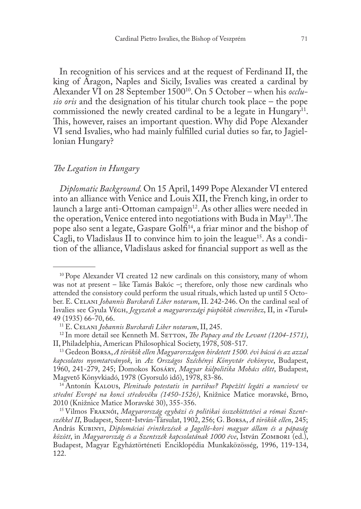In recognition of his services and at the request of Ferdinand II, the king of Aragon, Naples and Sicily, Isvalies was created a cardinal by Alexander VI on 28 September 150010. On 5 October – when his *occlusio oris* and the designation of his titular church took place – the pope commissioned the newly created cardinal to be a legate in Hungary<sup>11</sup>. This, however, raises an important question. Why did Pope Alexander VI send Isvalies, who had mainly fulfilled curial duties so far, to Jagiellonian Hungary?

#### *The Legation in Hungary*

*Diplomatic Background.* On 15 April, 1499 Pope Alexander VI entered into an alliance with Venice and Louis XII, the French king, in order to launch a large anti-Ottoman campaign<sup>12</sup>. As other allies were needed in the operation, Venice entered into negotiations with Buda in May13. The pope also sent a legate, Gaspare Golfi<sup>14</sup>, a friar minor and the bishop of Cagli, to Vladislaus II to convince him to join the league<sup>15</sup>. As a condition of the alliance, Vladislaus asked for financial support as well as the

<sup>&</sup>lt;sup>10</sup> Pope Alexander VI created 12 new cardinals on this consistory, many of whom was not at present – like Tamás Bakóc –; therefore, only those new cardinals who attended the consistory could perform the usual rituals, which lasted up until 5 October. E. Celani *Johannis Burckardi Liber notarum*, II. 242-246. On the cardinal seal of Isvalies see Gyula Végh, *Jegyzetek a magyarországi püspökök címereihez*, II, in «Turul» 49 (1935) 66-70, 66.

<sup>11</sup> E. Celani *Johannis Burckardi Liber notarum*, II, 245.

<sup>&</sup>lt;sup>12</sup> In more detail see Kenneth M. SETTON, *The Papacy and the Levant (1204-1571)*, II, Philadelphia, American Philosophical Society, 1978, 508-517.

<sup>13</sup> Gedeon Borsa, *A törökök ellen Magyarországon hirdetett 1500. évi búcsú és az azzal kapcsolatos nyomtatványok*, in *Az Országos Széchényi Könyvtár évkönyve*, Budapest, 1960, 241-279, 245; Domokos Kosáry, *Magyar külpolitika Mohács előtt*, Budapest, Magvető Könyvkiadó, 1978 (Gyorsuló idő), 1978, 83-86.

<sup>14</sup> Antonín Kalous, *Plenitudo potestatis in partibus? Papežští legáti a nunciové ve střední Evropě na konci středověku (1450-1526)*, Knižnice Matice moravské, Brno, 2010 (Knižnice Matice Moravské 30), 355-356.

<sup>15</sup> Vilmos Fraknói, *Magyarország egyházi és politikai összeköttetései a római Szentszékkel II*, Budapest, Szent-István-Társulat, 1902, 256; G. Borsa, *A törökök ellen*, 245; András Kubinyi, *Diplomáciai érintkezések a Jagelló-kori magyar állam és a pápaság között*, in *Magyarország és a Szentszék kapcsolatának 1000 éve*, István Zombori (ed.), Budapest, Magyar Egyháztörténeti Enciklopédia Munkaközösség, 1996, 119-134, 122.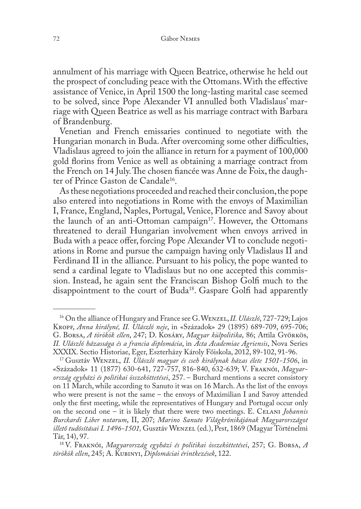#### 72 Gábor Nemes

annulment of his marriage with Queen Beatrice, otherwise he held out the prospect of concluding peace with the Ottomans. With the effective assistance of Venice, in April 1500 the long-lasting marital case seemed to be solved, since Pope Alexander VI annulled both Vladislaus' marriage with Queen Beatrice as well as his marriage contract with Barbara of Brandenburg.

Venetian and French emissaries continued to negotiate with the Hungarian monarch in Buda. After overcoming some other difficulties, Vladislaus agreed to join the alliance in return for a payment of 100,000 gold florins from Venice as well as obtaining a marriage contract from the French on 14 July. The chosen fiancée was Anne de Foix, the daughter of Prince Gaston de Candale<sup>16</sup>.

As these negotiations proceeded and reached their conclusion, the pope also entered into negotiations in Rome with the envoys of Maximilian I, France, England, Naples, Portugal, Venice, Florence and Savoy about the launch of an anti-Ottoman campaign<sup>17</sup>. However, the Ottomans threatened to derail Hungarian involvement when envoys arrived in Buda with a peace offer, forcing Pope Alexander VI to conclude negotiations in Rome and pursue the campaign having only Vladislaus II and Ferdinand II in the alliance. Pursuant to his policy, the pope wanted to send a cardinal legate to Vladislaus but no one accepted this commission. Instead, he again sent the Franciscan Bishop Golfi much to the disappointment to the court of Buda18. Gaspare Golfi had apparently

<sup>&</sup>lt;sup>16</sup> On the alliance of Hungary and France see G. WENZEL, *II. Ulászló*, 727-729; Lajos Kropf, *Anna királyné, II. Ulászló neje*, in «Századok» 29 (1895) 689-709, 695-706; G. Borsa, *A törökök ellen*, 247; D. Kosáry, *Magyar külpolitika*, 86; Attila Györkös, *II. Ulászló házassága és a francia diplomácia*, in *Acta Academiae Agriensis*, Nova Series XXXIX. Sectio Historiae, Eger, Eszterházy Károly Főiskola, 2012, 89-102, 91-96.

<sup>17</sup> Gusztáv Wenzel, *II. Ulászló magyar és cseh királynak házas élete 1501-1506*, in «Századok» 11 (1877) 630-641, 727-757, 816-840, 632-639; V. Fraknói, *Magyarország egyházi és politikai összeköttetései*, 257. – Burchard mentions a secret consistory on 11 March, while according to Sanuto it was on 16 March. As the list of the envoys who were present is not the same – the envoys of Maximilian I and Savoy attended only the first meeting, while the representatives of Hungary and Portugal occur only on the second one – it is likely that there were two meetings. E. Celani *Johannis Burckardi Liber notarum*, II, 207; *Marino Sanuto Világkrónikájának Magyarországot illető tudósításai I. 1496-1501,* Gusztáv Wenzel (ed.), Pest, 1869 (Magyar Történelmi Tár, 14), 97.

<sup>18</sup> V. Fraknói, *Magyarország egyházi és politikai összeköttetései*, 257; G. Borsa, *A törökök ellen*, 245; A. Kubinyi, *Diplomáciai érintkezések*, 122.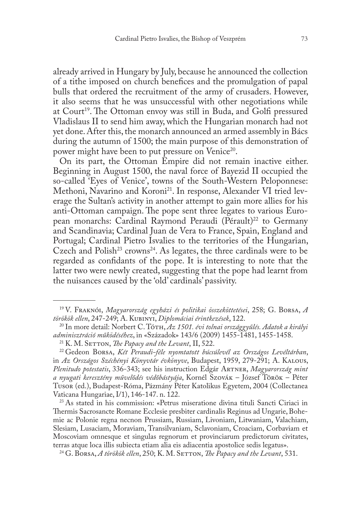already arrived in Hungary by July, because he announced the collection of a tithe imposed on church benefices and the promulgation of papal bulls that ordered the recruitment of the army of crusaders. However, it also seems that he was unsuccessful with other negotiations while at Court<sup>19</sup>. The Ottoman envoy was still in Buda, and Golfi pressured Vladislaus II to send him away, which the Hungarian monarch had not yet done. After this, the monarch announced an armed assembly in Bács during the autumn of 1500; the main purpose of this demonstration of power might have been to put pressure on Venice<sup>20</sup>.

On its part, the Ottoman Empire did not remain inactive either. Beginning in August 1500, the naval force of Bayezid II occupied the so-called 'Eyes of Venice', towns of the South-Western Peloponnese: Methoni, Navarino and Koroni<sup>21</sup>. In response, Alexander VI tried leverage the Sultan's activity in another attempt to gain more allies for his anti-Ottoman campaign. The pope sent three legates to various European monarchs: Cardinal Raymond Peraudi (Pérault)<sup>22</sup> to Germany and Scandinavia; Cardinal Juan de Vera to France, Spain, England and Portugal; Cardinal Pietro Isvalies to the territories of the Hungarian, Czech and Polish<sup>23</sup> crowns<sup>24</sup>. As legates, the three cardinals were to be regarded as confidants of the pope. It is interesting to note that the latter two were newly created, suggesting that the pope had learnt from the nuisances caused by the 'old' cardinals' passivity.

<sup>19</sup> V. Fraknói, *Magyarország egyházi és politikai összeköttetései*, 258; G. Borsa, *A törökök ellen*, 247-249; A. Kubinyi, *Diplomáciai érintkezések*, 122.

<sup>20</sup> In more detail: Norbert C. Tóth, *Az 1501. évi tolnai országgyűlés. Adatok a királyi adminisztráció működéséhez*, in «Századok» 143/6 (2009) 1455-1481, 1455-1458.

<sup>&</sup>lt;sup>21</sup> K. M. SETTON, *The Papacy and the Levant*, II, 522.

<sup>22</sup> Gedeon Borsa, *Két Peraudi-féle nyomtatott búcsúlevél az Országos Levéltárban*, in *Az Országos Széchényi Könyvtár évkönyve*, Budapest, 1959, 279-291; A. Kalous, *Plenitudo potestatis*, 336-343; see his instruction Edgár Artner, *Magyarország mint a nyugati keresztény művelődés védőbástyája*, Kornél Szovák – József Török – Péter Tusor (ed.), Budapest-Róma, Pázmány Péter Katolikus Egyetem, 2004 (Collectanea Vaticana Hungariae, I/1), 146-147. n. 122.

<sup>23</sup> As stated in his commission: «Petrus miseratione divina tituli Sancti Ciriaci in Thermis Sacrosancte Romane Ecclesie presbiter cardinalis Reginus ad Ungarie, Bohemie ac Polonie regna necnon Prussiam, Russiam, Livoniam, Litwaniam, Valachiam, Slesiam, Lusaciam, Moraviam, Transilvaniam, Sclavoniam, Croaciam, Corbaviam et Moscoviam omnesque et singulas regnorum et provinciarum predictorum civitates, terras atque loca illis subiecta etiam alia eis adiacentia apostolice sedis legatus».

<sup>&</sup>lt;sup>24</sup> G. BORSA, *A törökök ellen*, 250; K. M. SETTON, *The Papacy and the Levant*, 531.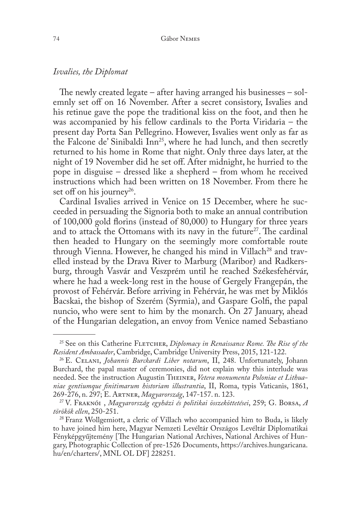#### *Isvalies, the Diplomat*

The newly created legate – after having arranged his businesses – solemnly set off on 16 November. After a secret consistory, Isvalies and his retinue gave the pope the traditional kiss on the foot, and then he was accompanied by his fellow cardinals to the Porta Viridaria – the present day Porta San Pellegrino. However, Isvalies went only as far as the Falcone de' Sinibaldi Inn<sup>25</sup>, where he had lunch, and then secretly returned to his home in Rome that night. Only three days later, at the night of 19 November did he set off. After midnight, he hurried to the pope in disguise – dressed like a shepherd – from whom he received instructions which had been written on 18 November. From there he set off on his journey<sup>26</sup>.

Cardinal Isvalies arrived in Venice on 15 December, where he succeeded in persuading the Signoria both to make an annual contribution of 100,000 gold florins (instead of 80,000) to Hungary for three years and to attack the Ottomans with its navy in the future<sup>27</sup>. The cardinal then headed to Hungary on the seemingly more comfortable route through Vienna. However, he changed his mind in Villach<sup>28</sup> and travelled instead by the Drava River to Marburg (Maribor) and Radkersburg, through Vasvár and Veszprém until he reached Székesfehérvár, where he had a week-long rest in the house of Gergely Frangepán, the provost of Fehérvár. Before arriving in Fehérvár, he was met by Miklós Bacskai, the bishop of Szerém (Syrmia), and Gaspare Golfi, the papal nuncio, who were sent to him by the monarch. On 27 January, ahead of the Hungarian delegation, an envoy from Venice named Sebastiano

<sup>&</sup>lt;sup>25</sup> See on this Catherine FLETCHER, *Diplomacy in Renaissance Rome. The Rise of the Resident Ambassador*, Cambridge, Cambridge University Press, 2015, 121-122.

<sup>26</sup> E. Celani, *Johannis Burckardi Liber notarum*, II, 248. Unfortunately, Johann Burchard, the papal master of ceremonies, did not explain why this interlude was needed. See the instruction Augustin Theiner, *Vetera monumenta Poloniae et Lithuaniae gentiumque finitimarum historiam illustrantia*, II, Roma, typis Vaticanis, 1861, 269-276, n. 297; E. Artner, *Magyarország*, 147-157. n. 123.

<sup>27</sup> V. Fraknói , *Magyarország egyházi és politikai összeköttetései*, 259; G. Borsa, *A törökök ellen*, 250-251.

<sup>28</sup> Franz Wollgemiott, a cleric of Villach who accompanied him to Buda, is likely to have joined him here, Magyar Nemzeti Levéltár Országos Levéltár Diplomatikai Fényképgyűjtemény [The Hungarian National Archives, National Archives of Hungary, Photographic Collection of pre-1526 Documents, https://archives.hungaricana. hu/en/charters/, MNL OL DF] 228251.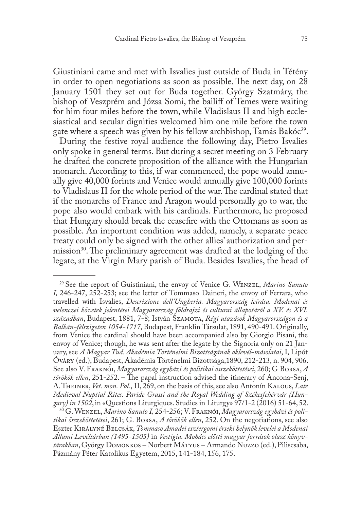Giustiniani came and met with Isvalies just outside of Buda in Tétény in order to open negotiations as soon as possible. The next day, on 28 January 1501 they set out for Buda together. György Szatmáry, the bishop of Veszprém and Józsa Somi, the bailiff of Temes were waiting for him four miles before the town, while Vladislaus II and high ecclesiastical and secular dignities welcomed him one mile before the town gate where a speech was given by his fellow archbishop, Tamás Bakóc<sup>29</sup>.

During the festive royal audience the following day, Pietro Isvalies only spoke in general terms. But during a secret meeting on 3 February he drafted the concrete proposition of the alliance with the Hungarian monarch. According to this, if war commenced, the pope would annually give 40,000 forints and Venice would annually give 100,000 forints to Vladislaus II for the whole period of the war. The cardinal stated that if the monarchs of France and Aragon would personally go to war, the pope also would embark with his cardinals. Furthermore, he proposed that Hungary should break the ceasefire with the Ottomans as soon as possible. An important condition was added, namely, a separate peace treaty could only be signed with the other allies' authorization and permission<sup>30</sup>. The preliminary agreement was drafted at the lodging of the legate, at the Virgin Mary parish of Buda. Besides Isvalies, the head of

<sup>29</sup> See the report of Guistiniani, the envoy of Venice G. Wenzel, *Marino Sanuto I,* 246-247, 252-253; see the letter of Tommaso Daineri, the envoy of Ferrara, who travelled with Isvalies, *Descrizione dell'Ungheria. Magyarország leírása. Modenai és velenczei követek jelentései Magyarország földrajzi és culturai állapotáról a XV. és XVI. században*, Budapest, 1881, 7-8; István Szamota, *Régi utazások Magyarországon és a Balkán-félszigeten 1054-1717*, Budapest, Franklin Társulat, 1891, 490-491. Originally, from Venice the cardinal should have been accompanied also by Giorgio Pisani, the envoy of Venice; though, he was sent after the legate by the Signoria only on 21 January, see *A Magyar Tud. Akadémia Történelmi Bizottságának oklevél-másolatai*, I, Lipót Óváry (ed.), Budapest, Akadémia Történelmi Bizottsága,1890, 212-213, n. 904, 906. See also V. Fraknói, *Magyarország egyházi és politikai összeköttetései*, 260; G Borsa, *A törökök ellen*, 251-252. – The papal instruction advised the itinerary of Ancona-Senj, A. Theiner, *Vet. mon. Pol.*, II, 269, on the basis of this, see also Antonín Kalous, *Late Medieval Nuptial Rites. Paride Grassi and the Royal Wedding of Székesfehérvár (Hungary) in 1502*, in «Questions Liturgiques. Studies in Liturgy» 97/1-2 (2016) 51-64, 52.

<sup>30</sup> G. Wenzel, *Marino Sanuto I,* 254-256; V. Fraknói, *Magyarország egyházi és politikai összeköttetései*, 261; G. Borsa, *A törökök ellen*, 252. On the negotiations, see also Eszter Királyné Belcsák, *Tommaso Amadei esztergomi érseki helynök levelei a Modenai Állami Levéltárban (1495-1505)* in *Vestigia. Mohács előtti magyar források olasz könyvtárakban*, György Domonkos – Norbert Mátyus – Armando Nuzzo (ed.), Piliscsaba, Pázmány Péter Katolikus Egyetem, 2015, 141-184, 156, 175.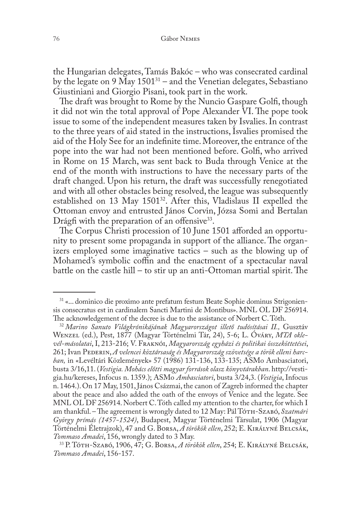the Hungarian delegates, Tamás Bakóc – who was consecrated cardinal by the legate on 9  $\text{Mav } 1501^{31}$  – and the Venetian delegates, Sebastiano Giustiniani and Giorgio Pisani, took part in the work.

The draft was brought to Rome by the Nuncio Gaspare Golfi, though it did not win the total approval of Pope Alexander VI. The pope took issue to some of the independent measures taken by Isvalies. In contrast to the three years of aid stated in the instructions, Isvalies promised the aid of the Holy See for an indefinite time. Moreover, the entrance of the pope into the war had not been mentioned before. Golfi, who arrived in Rome on 15 March, was sent back to Buda through Venice at the end of the month with instructions to have the necessary parts of the draft changed. Upon his return, the draft was successfully renegotiated and with all other obstacles being resolved, the league was subsequently established on 13 May 1501<sup>32</sup>. After this, Vladislaus II expelled the Ottoman envoy and entrusted János Corvin, Józsa Somi and Bertalan Drágfi with the preparation of an offensive<sup>33</sup>.

The Corpus Christi procession of 10 June 1501 afforded an opportunity to present some propaganda in support of the alliance. The organizers employed some imaginative tactics – such as the blowing up of Mohamed's symbolic coffin and the enactment of a spectacular naval battle on the castle hill – to stir up an anti-Ottoman martial spirit. The

<sup>31</sup> «... dominico die proximo ante prefatum festum Beate Sophie dominus Strigoniensis consecratus est in cardinalem Sancti Martini de Montibus». MNL OL DF 256914. The acknowledgement of the decree is due to the assistance of Norbert C. Tóth.

<sup>32</sup> *Marino Sanuto Világkrónikájának Magyarországot illető tudósításai II.,* Gusztáv Wenzel (ed.), Pest, 1877 (Magyar Történelmi Tár, 24), 5-6; L. Óváry, *MTA oklevél-másolatai*, I, 213-216; V. Fraknói, *Magyarország egyházi és politikai összeköttetései*, 261; Ivan Pederin, *A velencei köztársaság és Magyarország szövetsége a török elleni harcban,* in «Levéltári Közlemények» 57 (1986) 131-136, 133-135; ASMo Ambasciatori, busta 3/16,11. (*Vestigia. Mohács előtti magyar források olasz könyvtárakban*. http://vestigia.hu/kereses, Infocus n. 1359.); ASMo *Ambasciatori*, busta 3/24,3. (*Vestigia*, Infocus n. 1464.). On 17 May, 1501, János Csázmai, the canon of Zagreb informed the chapter about the peace and also added the oath of the envoys of Venice and the legate. See MNL OL DF 256914. Norbert C. Tóth called my attention to the charter, for which I am thankful. – The agreement is wrongly dated to 12 May: Pál TóTH-SzABÓ, Szatmári *György prímás (1457-1524)*, Budapest, Magyar Történelmi Társulat, 1906 (Magyar Történelmi Életrajzok), 47 and G. Borsa, *A törökök ellen*, 252; E. Királyné Belcsák, *Tommaso Amadei*, 156, wrongly dated to 3 May.

<sup>33</sup> P. Tóth-Szabó, 1906, 47; G. Borsa, *A törökök ellen*, 254; E. Királyné Belcsák, *Tommaso Amadei*, 156-157.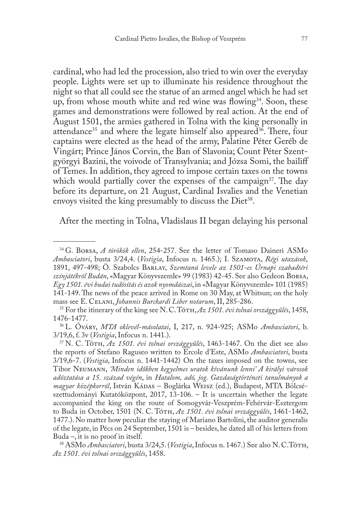cardinal, who had led the procession, also tried to win over the everyday people. Lights were set up to illuminate his residence throughout the night so that all could see the statue of an armed angel which he had set up, from whose mouth white and red wine was flowing<sup>34</sup>. Soon, these games and demonstrations were followed by real action. At the end of August 1501, the armies gathered in Tolna with the king personally in attendance<sup>35</sup> and where the legate himself also appeared<sup>36</sup>. There, four captains were elected as the head of the army, Palatine Péter Geréb de Vingárt; Prince János Corvin, the Ban of Slavonia; Count Péter Szentgyörgyi Bazini, the voivode of Transylvania; and Józsa Somi, the bailiff of Temes. In addition, they agreed to impose certain taxes on the towns which would partially cover the expenses of the campaign<sup>37</sup>. The day before its departure, on 21 August, Cardinal Isvalies and the Venetian envoys visited the king presumably to discuss the Diet<sup>38</sup>.

After the meeting in Tolna, Vladislaus II began delaying his personal

<sup>34</sup> G. Borsa, *A törökök ellen*, 254-257. See the letter of Tomaso Daineri ASMo *Ambasciatori*, busta 3/24,4. (*Vestigia*, Infocus n. 1465.); I. Szamota, *Régi utazások*, 1891, 497-498; Ö. Szabolcs Barlay, *Szemtanú levele az 1501-es Úrnapi szabadtéri színjátékról Budán*, «Magyar Könyvszemle» 99 (1983) 42-45. See also Gedeon Borsa, *Egy 1501. évi budai tudósítás és azok nyomdászai*, in «Magyar Könyvszemle» 101 (1985) 141-149. The news of the peace arrived in Rome on 30 May, at Whitsun; on the holy mass see E. Celani, *Johannis Burckardi Liber notarum*, II, 285-286.

<sup>35</sup> For the itinerary of the king see N. C. Tóth, *Az 1501. évi tolnai országgyűlés*, 1458, 1476-1477.

<sup>36</sup> L. Óváry, *MTA oklevél-másolatai*, I, 217, n. 924-925; ASMo *Ambasciatori*, b. 3/19,6, f. 3v (*Vestigia*, Infocus n. 1441.).

<sup>&</sup>lt;sup>37</sup> N. C. Tó $TH$ ,  $Az$  1501. évi tolnai országgyűlés, 1463-1467. On the diet see also the reports of Stefano Raguseo written to Ercole d'Este, ASMo *Ambasciatori*, busta 3/19,6-7. (*Vestigia*, Infocus n. 1441-1442) On the taxes imposed on the towns, see Tibor Neumann, *'Minden időkben kegyelmes uratok kívánunk lenni' A királyi városok adóztatása a 15. század végén*, in *Hatalom, adó, jog. Gazdaságtörténeti tanulmányok a magyar középkorról*, István KÁDAs – Boglárka Weisz (ed.), Budapest, MTA Bölcsészettudományi Kutatóközpont, 2017, 13-106. – It is uncertain whether the legate accompanied the king on the route of Somogyvár-Veszprém-Fehérvár-Esztergom to Buda in October, 1501 (N. C. Tó $TH$ , Az 1501. évi tolnai országgyűlés, 1461-1462, 1477.). No matter how peculiar the staying of Mariano Bartolini, the auditor generalis of the legate, in Pécs on 24 September, 1501 is – besides, he dated all of his letters from Buda –, it is no proof in itself.

<sup>&</sup>lt;sup>38</sup> ASMo *Ambasciatori*, busta 3/24,5. (Vestigia, Infocus n. 1467.) See also N. С. То́тн, *Az 1501. évi tolnai országgyűlés*, 1458.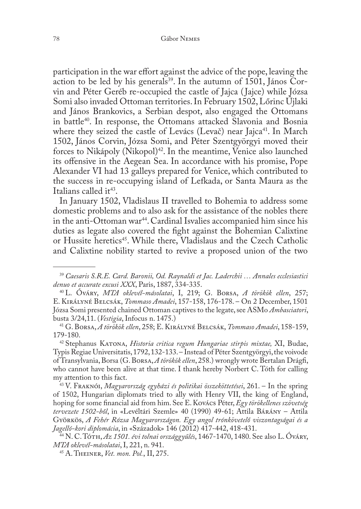participation in the war effort against the advice of the pope, leaving the action to be led by his generals<sup>39</sup>. In the autumn of  $1501$ , János Corvin and Péter Geréb re-occupied the castle of Jajca ( Jajce) while Józsa Somi also invaded Ottoman territories. In February 1502, Lőrinc Újlaki and János Brankovics, a Serbian despot, also engaged the Ottomans in battle<sup>40</sup>. In response, the Ottomans attacked Slavonia and Bosnia where they seized the castle of Levács (Levač) near Jajca<sup>41</sup>. In March 1502, János Corvin, Józsa Somi, and Péter Szentgyörgyi moved their forces to Nikápoly (Nikopol)<sup>42</sup>. In the meantime, Venice also launched its offensive in the Aegean Sea. In accordance with his promise, Pope Alexander VI had 13 galleys prepared for Venice, which contributed to the success in re-occupying island of Lefkada, or Santa Maura as the Italians called it<sup>43</sup>.

In January 1502, Vladislaus II travelled to Bohemia to address some domestic problems and to also ask for the assistance of the nobles there in the anti-Ottoman war<sup>44</sup>. Cardinal Isvalies accompanied him since his duties as legate also covered the fight against the Bohemian Calixtine or Hussite heretics<sup>45</sup>. While there, Vladislaus and the Czech Catholic and Calixtine nobility started to revive a proposed union of the two

<sup>39</sup> *Caesaris S.R.E. Card. Baronii, Od. Raynaldi et Jac. Laderchii … Annales ecclesiastici denuo et accurate excusi XXX*, Paris, 1887, 334-335.

<sup>40</sup> L. Óváry, *MTA oklevél-másolatai*, I, 219; G. Borsa, *A törökök ellen*, 257; E. Királyné Belcsák, *Tommaso Amadei*, 157-158, 176-178. – On 2 December, 1501 Józsa Somi presented chained Ottoman captives to the legate, see ASMo *Ambasciatori*, busta 3/24,11. (*Vestigia*, Infocus n. 1475.)

<sup>41</sup> G. Borsa, *A törökök ellen*, 258; E. Királyné Belcsák, *Tommaso Amadei*, 158-159, 179-180.

<sup>42</sup> Stephanus Katona, *Historia critica regum Hungariae stirpis mixtae,* XI, Budae, Typis Regiae Universitatis, 1792, 132-133. – Instead of Péter Szentgyörgyi, the voivode of Transylvania, Borsa (G. Borsa, *A törökök ellen*, 258.) wrongly wrote Bertalan Drágfi, who cannot have been alive at that time. I thank hereby Norbert C. Tóth for calling

<sup>&</sup>lt;sup>43</sup> V. Fraknói, *Magyarország egyházi és politikai összeköttetései*, 261. – In the spring of 1502, Hungarian diplomats tried to ally with Henry VII, the king of England, hoping for some financial aid from him. See E. Kovács Péter, *Egy törökellenes szövetség tervezete 1502-ből*, in «Levéltári Szemle» 40 (1990) 49-61; Attila Bárány – Attila Györkös, *A Fehér Rózsa Magyarországon. Egy angol trónkövetelő viszontagságai és a Jagelló-kori diplomácia*, in «Századok» 146 (2012) 417-442, 418-431.

<sup>44</sup> N. C. Tóth, *Az 1501. évi tolnai országgyűlés*, 1467-1470, 1480. See also L. Óváry, *MTA oklevél-másolatai*, I, 221, n. 941.

<sup>45</sup> A. Theiner, *Vet. mon. Pol.*, II, 275.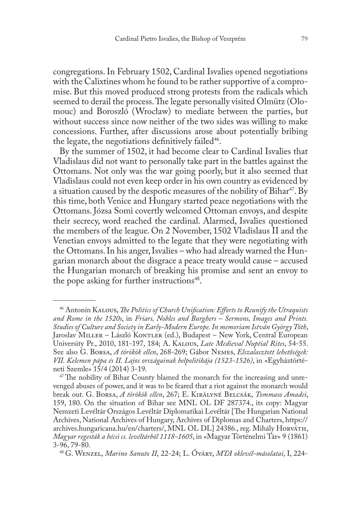congregations. In February 1502, Cardinal Isvalies opened negotiations with the Calixtines whom he found to be rather supportive of a compromise. But this moved produced strong protests from the radicals which seemed to derail the process. The legate personally visited Olmütz (Olomouc) and Boroszló (Wrocław) to mediate between the parties, but without success since now neither of the two sides was willing to make concessions. Further, after discussions arose about potentially bribing the legate, the negotiations definitively failed<sup>46</sup>.

By the summer of 1502, it had become clear to Cardinal Isvalies that Vladislaus did not want to personally take part in the battles against the Ottomans. Not only was the war going poorly, but it also seemed that Vladislaus could not even keep order in his own country as evidenced by a situation caused by the despotic measures of the nobility of Bihar<sup>47</sup>. By this time, both Venice and Hungary started peace negotiations with the Ottomans. Józsa Somi covertly welcomed Ottoman envoys, and despite their secrecy, word reached the cardinal. Alarmed, Isvalies questioned the members of the league. On 2 November, 1502 Vladislaus II and the Venetian envoys admitted to the legate that they were negotiating with the Ottomans. In his anger, Isvalies – who had already warned the Hungarian monarch about the disgrace a peace treaty would cause – accused the Hungarian monarch of breaking his promise and sent an envoy to the pope asking for further instructions<sup>48</sup>.

<sup>46</sup> Antonín Kalous,*The Politics of Church Unification: Efforts to Reunify the Utraquists and Rome in the 1520s*, in *Friars, Nobles and Burghers – Sermons, Images and Prints. Studies of Culture and Society in Early-Modern Europe. In memoriam István György Tóth*, Jaroslav MILLER – László KONTLER (ed.), Budapest – New York, Central European University Pr., 2010, 181-197, 184; A. Kalous, *Late Medieval Nuptial Rites*, 54-55. See also G. Borsa, *A törökök ellen*, 268-269; Gábor Nemes, *Elszalasztott lehetőségek: VII. Kelemen pápa és II. Lajos országainak belpolitikája (1523-1526)*, in «Egyháztörténeti Szemle» 15/4 (2014) 3-19.

<sup>&</sup>lt;sup>47</sup>The nobility of Bihar County blamed the monarch for the increasing and unrevenged abuses of power, and it was to be feared that a riot against the monarch would break out. G. Borsa, *A törökök ellen*, 267; E. Királyné Belcsák, *Tommaso Amadei*, 159, 180. On the situation of Bihar see MNL OL DF 287374., its copy: Magyar Nemzeti Levéltár Országos Levéltár Diplomatikai Levéltár [The Hungarian National Archives, National Archives of Hungary, Archives of Diplomas and Charters, https:// archives.hungaricana.hu/en/charters/, MNL OL DL] 24386., reg. Mihály Новváтн, *Magyar regesták a bécsi cs. levéltárból 1118-1605*, in «Magyar Történelmi Tár» 9 (1861) 3-96, 79-80.

<sup>48</sup> G. Wenzel, *Marino Sanuto II*, 22-24; L. Óváry, *MTA oklevél-másolatai*, I, 224-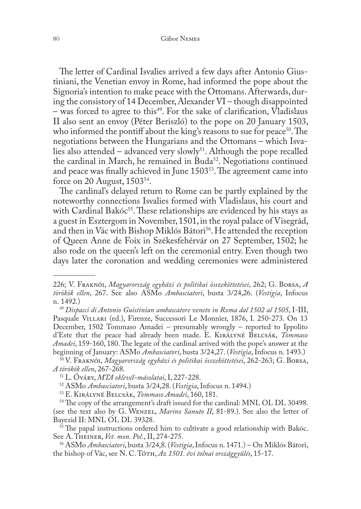The letter of Cardinal Isvalies arrived a few days after Antonio Giustiniani, the Venetian envoy in Rome, had informed the pope about the Signoria's intention to make peace with the Ottomans. Afterwards, during the consistory of 14 December, Alexander VI – though disappointed  $-$  was forced to agree to this<sup>49</sup>. For the sake of clarification, Vladislaus II also sent an envoy (Péter Beriszló) to the pope on 20 January 1503, who informed the pontiff about the king's reasons to sue for peace<sup>50</sup>. The negotiations between the Hungarians and the Ottomans – which Isvalies also attended – advanced very slowly<sup>51</sup>. Although the pope recalled the cardinal in March, he remained in Buda<sup>52</sup>. Negotiations continued and peace was finally achieved in June 150353. The agreement came into force on 20 August,  $1503^{54}$ .

The cardinal's delayed return to Rome can be partly explained by the noteworthy connections Isvalies formed with Vladislaus, his court and with Cardinal Bakóc<sup>55</sup>. These relationships are evidenced by his stays as a guest in Esztergom in November, 1501, in the royal palace of Visegrád, and then in Vác with Bishop Miklós Bátori<sup>56</sup>. He attended the reception of Queen Anne de Foix in Székesfehérvár on 27 September, 1502; he also rode on the queen's left on the ceremonial entry. Even though two days later the coronation and wedding ceremonies were administered

<sup>226;</sup> V. Fraknói, *Magyarország egyházi és politikai összeköttetései*, 262; G. Borsa, *A törökök ellen*, 267. See also ASMo *Ambasciatori*, busta 3/24,26. (*Vestigia*, Infocus n. 1492.)

<sup>49</sup> *Dispacci di Antonio Guistinian ambascatore veneto in Roma dal 1502 al 1505*, I-III, Pasquale Villari (ed.), Firenze, Successori Le Monnier, 1876, I. 250-273. On 13 December, 1502 Tommaso Amadei – presumably wrongly – reported to Ippolito d'Este that the peace had already been made. E. Királyné Belcsák, *Tommaso Amadei*, 159-160, 180. The legate of the cardinal arrived with the pope's answer at the beginning of January: ASMo *Ambasciatori*, busta 3/24,27. (*Vestigia*, Infocus n. 1493.)

<sup>50</sup> V. Fraknói, *Magyarország egyházi és politikai összeköttetései*, 262-263; G. Borsa, *A törökök ellen*, 267-268.

<sup>51</sup> L. Óváry, *MTA oklevél-másolatai*, I, 227-228.

<sup>52</sup> ASMo *Ambasciatori*, busta 3/24,28. (*Vestigia*, Infocus n. 1494.)

<sup>53</sup> E. Királyné Belcsák, *Tommaso Amadei*, 160, 181.

<sup>&</sup>lt;sup>54</sup>The copy of the arrangement's draft issued for the cardinal: MNL OL DL 30498. (see the text also by G. Wenzel, *Marino Sanuto II*, 81-89.). See also the letter of Bayezid II: MNL OL DL 39328.

<sup>&</sup>lt;sup>55</sup>The papal instructions ordered him to cultivate a good relationship with Bakóc.<br>See A. THEINER, *Vet. mon. Pol.*, II, 274-275.

<sup>&</sup>lt;sup>56</sup> ASMo *Ambasciatori*, busta 3/24,8. (*Vestigia*, Infocus n. 1471.) – On Miklós Bátori, the bishop of Vác, see N. C. Tóth, *Az 1501. évi tolnai országgyűlés*, 15-17.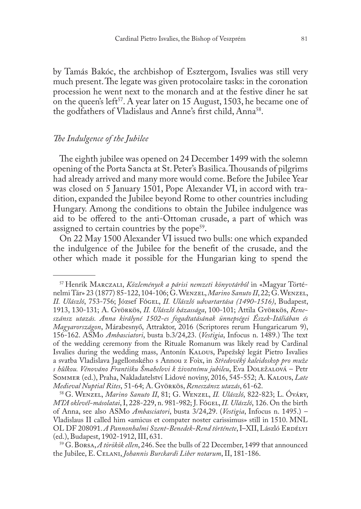by Tamás Bakóc, the archbishop of Esztergom, Isvalies was still very much present. The legate was given protocolaire tasks: in the coronation procession he went next to the monarch and at the festive diner he sat on the queen's left<sup>57</sup>. A year later on 15 August, 1503, he became one of the godfathers of Vladislaus and Anne's first child, Anna<sup>58</sup>.

#### *The Indulgence of the Jubilee*

The eighth jubilee was opened on 24 December 1499 with the solemn opening of the Porta Sancta at St. Peter's Basilica. Thousands of pilgrims had already arrived and many more would come. Before the Jubilee Year was closed on 5 January 1501, Pope Alexander VI, in accord with tradition, expanded the Jubilee beyond Rome to other countries including Hungary. Among the conditions to obtain the Jubilee indulgence was aid to be offered to the anti-Ottoman crusade, a part of which was assigned to certain countries by the pope<sup>59</sup>.

On 22 May 1500 Alexander VI issued two bulls: one which expanded the indulgence of the Jubilee for the benefit of the crusade, and the other which made it possible for the Hungarian king to spend the

<sup>57</sup> Henrik Marczali, *Közlemények a párisi nemzeti könyvtárból* in «Magyar Történelmi Tár» 23 (1877) 85-122, 104-106; G. Wenzel, *Marino Sanuto II*, 22; G. Wenzel, *II. Ulászló*, 753-756; József Fógel, *II. Ulászló udvartartása (1490-1516)*, Budapest, 1913, 130-131; A. Györkös, *II. Ulászló házassága*, 100-101; Attila Györkös, *Reneszánsz utazás. Anna királyné 1502-es fogadtatásának ünnepségei Észek-Itáliában és Magyarországon*, Márabesnyő, Attraktor, 2016 (Scriptores rerum Hungaricarum 9), 156-162. ASMo *Ambasciatori*, busta b.3/24,23. (*Vestigia*, Infocus n. 1489.) The text of the wedding ceremony from the Rituale Romanum was likely read by Cardinal Isvalies during the wedding mass, Antonín Kalous, Papežský legát Pietro Isvalies a svatba Vladislava Jagellonského s Annou z Foix, in *Středověký kaleidoskop pro muže s hůlkou. Věnováno Františku Šmahelovi k životnímu jubileu*, Eva Doležalová – Petr Sommer (ed.), Praha, Nakladatelství Lidové noviny, 2016, 545-552; A. Kalous, *Late Medieval Nuptial Rites*, 51-64; A. Györkös, *Reneszánsz utazás*, 61-62.

<sup>58</sup> G. Wenzel, *Marino Sanuto II*, 81; G. Wenzel, *II. Ulászló*, 822-823; L. Óváry, *MTA oklevél-másolatai*, I, 228-229, n. 981-982; J. Fógel, *II. Ulászló*, 126. On the birth of Anna, see also ASMo *Ambasciatori*, busta 3/24,29. (*Vestigia*, Infocus n. 1495.) – Vladislaus II called him «amicus et compater noster carissimus» still in 1510. MNL OL DF 208091. *A Pannonhalmi Szent-Benedek-Rend története*, I–XII, László ERDÉLYI (ed.), Budapest, 1902-1912, III, 631.

<sup>59</sup> G. Borsa, *A törökök ellen*, 246. See the bulls of 22 December, 1499 that announced the Jubilee, E. Celani, *Johannis Burckardi Liber notarum*, II, 181-186.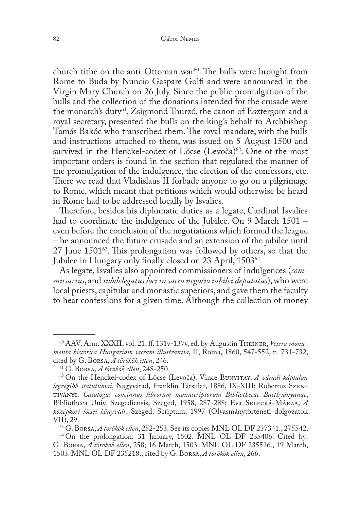church tithe on the anti-Ottoman war $60$ . The bulls were brought from Rome to Buda by Nuncio Gaspare Golfi and were announced in the Virgin Mary Church on 26 July. Since the public promulgation of the bulls and the collection of the donations intended for the crusade were the monarch's duty<sup>61</sup>, Zsigmond Thurzó, the canon of Esztergom and a royal secretary, presented the bulls on the king's behalf to Archbishop Tamás Bakóc who transcribed them. The royal mandate, with the bulls and instructions attached to them, was issued on 5 August 1500 and survived in the Henckel-codex of Lőcse (Levoča) $62$ . One of the most important orders is found in the section that regulated the manner of the promulgation of the indulgence, the election of the confessors, etc. There we read that Vladislaus II forbade anyone to go on a pilgrimage to Rome, which meant that petitions which would otherwise be heard in Rome had to be addressed locally by Isvalies.

Therefore, besides his diplomatic duties as a legate, Cardinal Isvalies had to coordinate the indulgence of the Jubilee. On 9 March 1501 – even before the conclusion of the negotiations which formed the league – he announced the future crusade and an extension of the jubilee until 27 June 150163. This prolongation was followed by others, so that the Jubilee in Hungary only finally closed on 23 April, 1503<sup>64</sup>.

As legate, Isvalies also appointed commissioners of indulgences (*commissarius*, and *subdelegatus loci in sacro negotio iubilei deputatus*), who were local priests, capitular and monastic superiors, and gave them the faculty to hear confessions for a given time. Although the collection of money

<sup>63</sup> G. Borsa, *A törökök ellen*, 252-253. See its copies MNL OL DF 237341., 275542.

<sup>64</sup> On the prolongation: 31 January, 1502. MNL OL DF 235406. Cited by: G. Borsa, *A törökök ellen*, 258; 16 March, 1503. MNL OL DF 235516., 19 March, 1503. MNL OL DF 235218., cited by G. Borsa, *A törökök ellen*, 266.

<sup>60</sup> AAV, Arm. XXXII, vol. 21, ff. 131v-137v, ed. by Augustin Theiner, *Vetera monumenta historica Hungariam sacram illustrantia*, II, Roma, 1860, 547-552, n. 731-732, cited by G. Borsa, *A törökök ellen*, 246.

<sup>61</sup> G. Borsa, *A törökök ellen*, 248-250.

<sup>62</sup> On the Henckel-codex of Lőcse (Levoča): Vince Bunyitay, *A váradi káptalan legrégibb statutumai*, Nagyvárad, Franklin Társulat, 1886, IX-XIII; Robertus Szentiványi, *Catalogus concinnus librorum manuscriptorum Bibliothecae Batthyányanae*, Bibliotheca Univ. Szegediensis, Szeged, 1958, 287-288; Eva Selecká-Mârza, *A középkori lőcsei könyvtár*, Szeged, Scriptum, 1997 (Olvasmánytörténeti dolgozatok VII), 29.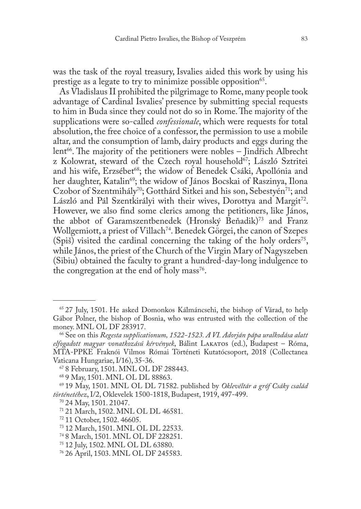was the task of the royal treasury, Isvalies aided this work by using his prestige as a legate to try to minimize possible opposition<sup>65</sup>.

As Vladislaus II prohibited the pilgrimage to Rome, many people took advantage of Cardinal Isvalies' presence by submitting special requests to him in Buda since they could not do so in Rome. The majority of the supplications were so-called *confessionale*, which were requests for total absolution, the free choice of a confessor, the permission to use a mobile altar, and the consumption of lamb, dairy products and eggs during the lent<sup>66</sup>. The majority of the petitioners were nobles – Jindřich Albrecht z Kolowrat, steward of the Czech royal household<sup>67</sup>; László Sztritei and his wife, Erzsébet<sup>68</sup>; the widow of Benedek Csáki, Apollónia and her daughter, Katalin<sup>69</sup>; the widow of János Bocskai of Raszinya, Ilona Czobor of Szentmihály<sup>70</sup>; Gotthárd Sitkei and his son, Sebestyén<sup>71</sup>; and László and Pál Szentkirályi with their wives, Dorottya and Margit<sup>72</sup>. However, we also find some clerics among the petitioners, like János, the abbot of Garamszentbenedek (Hronský Beňadik)<sup>73</sup> and Franz Wollgemiott, a priest of Villach<sup>74</sup>. Benedek Görgei, the canon of Szepes (Spiš) visited the cardinal concerning the taking of the holy orders<sup>75</sup>, while János, the priest of the Church of the Virgin Mary of Nagyszeben (Sibiu) obtained the faculty to grant a hundred-day-long indulgence to the congregation at the end of holy mass $^{76}$ .

<sup>65</sup> 27 July, 1501. He asked Domonkos Kálmáncsehi, the bishop of Várad, to help Gábor Polner, the bishop of Bosnia, who was entrusted with the collection of the money. MNL OL DF 283917.

<sup>66</sup> See on this *Regesta supplicationum, 1522-1523. A VI. Adorján pápa uralkodása alatt elfogadott magyar vonatkozású kérvények*, Bálint Lakatos (ed.), Budapest – Róma, MTA-PPKE Fraknói Vilmos Római Történeti Kutatócsoport, 2018 (Collectanea Vaticana Hungariae, I/16), 35-36.

<sup>67</sup> 8 February, 1501. MNL OL DF 288443.

<sup>68</sup> 9 May, 1501. MNL OL DL 88863.

<sup>69</sup> 19 May, 1501. MNL OL DL 71582. published by *Oklevéltár a gróf Csáky család történetéhez*, I/2, Oklevelek 1500-1818, Budapest, 1919, 497-499.

<sup>70</sup> 24 May, 1501. 21047.

<sup>71</sup> 21 March, 1502. MNL OL DL 46581.

<sup>72</sup> 11 October, 1502. 46605.

<sup>73</sup> 12 March, 1501. MNL OL DL 22533.

<sup>74</sup> 8 March, 1501. MNL OL DF 228251.

<sup>75</sup> 12 July, 1502. MNL OL DL 63880.

<sup>76</sup> 26 April, 1503. MNL OL DF 245583.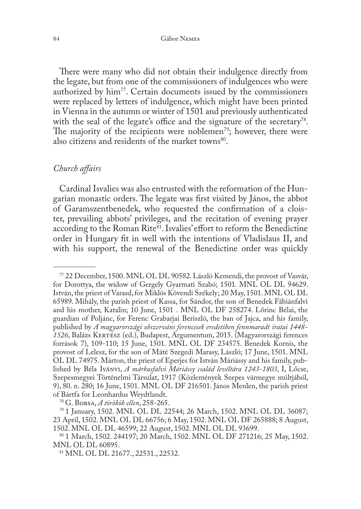There were many who did not obtain their indulgence directly from the legate, but from one of the commissioners of indulgences who were authorized by him77. Certain documents issued by the commissioners were replaced by letters of indulgence, which might have been printed in Vienna in the autumn or winter of 1501 and previously authenticated with the seal of the legate's office and the signature of the secretary<sup>78</sup>. The majority of the recipients were noblemen<sup>79</sup>; however, there were also citizens and residents of the market towns<sup>80</sup>.

#### *Church affairs*

Cardinal Isvalies was also entrusted with the reformation of the Hungarian monastic orders. The legate was first visited by János, the abbot of Garamszentbenedek, who requested the confirmation of a cloister, prevailing abbots' privileges, and the recitation of evening prayer according to the Roman Rite<sup>81</sup>. Isvalies' effort to reform the Benedictine order in Hungary fit in well with the intentions of Vladislaus II, and with his support, the renewal of the Benedictine order was quickly

<sup>77</sup> 22 December, 1500. MNL OL DL 90582. László Kemendi, the provost of Vasvár, for Dorottya, the widow of Gergely Gyarmati Szabó; 1501. MNL OL DL 94629. István, the priest of Varasd, for Miklós Kövendi Székely; 20 May, 1501. MNL OL DL 65989. Mihály, the parish priest of Kassa, for Sándor, the son of Benedek Fábiánfalvi and his mother, Katalin; 10 June, 1501 . MNL OL DF 258274. Lőrinc Bélai, the guardian of Poljánc, for Ferenc Grabarjai Beriszló, the ban of Jajca, and his family, published by *A magyarországi obszerváns ferencesek eredetiben fennmaradt iratai 1448- 1526*, Balázs Kertész (ed.), Budapest, Argumentum, 2015. (Magyarországi ferences források 7), 109-110; 15 June, 1501. MNL OL DF 234575. Benedek Kornis, the provost of Lelesz, for the son of Máté Szegedi Marasy, László; 17 June, 1501. MNL OL DL 74975. Márton, the priest of Eperjes for István Máriássy and his family, published by Béla Iványi, *A márkusfalvi Máriássy család levéltára 1243-1803*, I, Lőcse, Szepesmegyei Történelmi Társulat, 1917 (Közlemények Szepes vármegye múltjából, 9), 80. n. 280; 16 June, 1501. MNL OL DF 216501. János Menlen, the parish priest of Bártfa for Leonhardus Weydtlandt.

<sup>78</sup> G. Borsa, *A törökök ellen*, 258-265.

<sup>79</sup> 1 January, 1502. MNL OL DL 22544; 26 March, 1502. MNL OL DL 36087; 23 April, 1502. MNL OL DL 66756; 6 May, 1502. MNL OL DF 265888; 8 August, 1502. MNL OL DL 46599; 22 August, 1502. MNL OL DL 93699.

<sup>80</sup> 1 March, 1502. 244197; 20 March, 1502. MNL OL DF 271216; 25 May, 1502. MNL OL DL 60895.

<sup>81</sup> MNL OL DL 21677., 22531., 22532.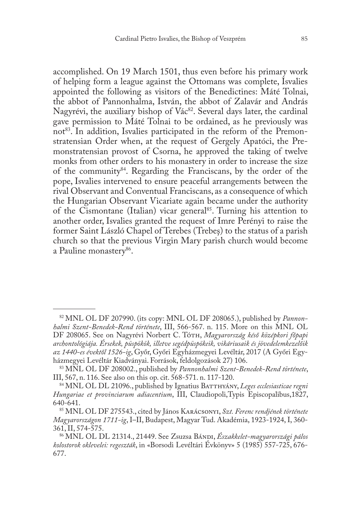accomplished. On 19 March 1501, thus even before his primary work of helping form a league against the Ottomans was complete, Isvalies appointed the following as visitors of the Benedictines: Máté Tolnai,

the abbot of Pannonhalma, István, the abbot of Zalavár and András Nagyrévi, the auxiliary bishop of Vác<sup>82</sup>. Several days later, the cardinal gave permission to Máté Tolnai to be ordained, as he previously was not<sup>83</sup>. In addition, Isvalies participated in the reform of the Premonstratensian Order when, at the request of Gergely Apatóci, the Premonstratensian provost of Csorna, he approved the taking of twelve monks from other orders to his monastery in order to increase the size of the community84. Regarding the Franciscans, by the order of the pope, Isvalies intervened to ensure peaceful arrangements between the rival Observant and Conventual Franciscans, as a consequence of which the Hungarian Observant Vicariate again became under the authority of the Cismontane (Italian) vicar general<sup>85</sup>. Turning his attention to another order, Isvalies granted the request of Imre Perényi to raise the former Saint László Chapel of Terebes (Trebeş) to the status of a parish church so that the previous Virgin Mary parish church would become a Pauline monastery<sup>86</sup>.

<sup>82</sup> MNL OL DF 207990. (its copy: MNL OL DF 208065.), published by *Pannonhalmi Szent-Benedek-Rend története*, III, 566-567. n. 115. More on this MNL OL DF 208065. See on Nagyrévi Norbert C. Tóth, *Magyarország késő középkori főpapi archontológiája. Érsekek, püspökök, illetve segédpüspökeik, vikáriusaik és jövedelemkezelőik az 1440-es évektől 1526-ig*, Győr, Győri Egyházmegyei Levéltár, 2017 (A Győri Egyházmegyei Levéltár Kiadványai. Források, feldolgozások 27) 106.

<sup>83</sup> MNL OL DF 208002., published by *Pannonhalmi Szent-Benedek-Rend története*, III, 567, n. 116. See also on this op. cit. 568-571. n. 117-120.

<sup>84</sup> MNL OL DL 21096., published by Ignatius BATTHYÁNY, *Leges ecclesiasticae regni Hungariae et provinciarum adiacentium*, III, Claudiopoli,Typis Episcopalibus,1827, 640-641.

<sup>85</sup> MNL OL DF 275543., cited by János Karácsonyi, *Szt. Ferenc rendjének története Magyarországon 1711-ig*, I–II, Budapest, Magyar Tud. Akadémia, 1923-1924, I, 360- 361, II, 574-575.

<sup>86</sup> MNL OL DL 21314., 21449. See Zsuzsa Bándi, *Északkelet-magyarországi pálos kolostorok oklevelei: regeszták*, in «Borsodi Levéltári Évkönyv» 5 (1985) 557-725, 676- 677.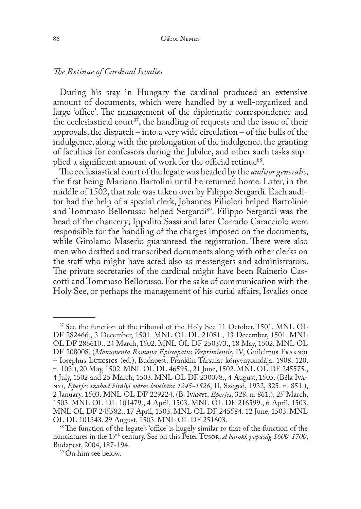### *The Retinue of Cardinal Isvalies*

During his stay in Hungary the cardinal produced an extensive amount of documents, which were handled by a well-organized and large 'office'. The management of the diplomatic correspondence and the ecclesiastical court<sup>87</sup>, the handling of requests and the issue of their approvals, the dispatch – into a very wide circulation – of the bulls of the indulgence, along with the prolongation of the indulgence, the granting of faculties for confessors during the Jubilee, and other such tasks supplied a significant amount of work for the official retinue<sup>88</sup>.

The ecclesiastical court of the legate was headed by the *auditor generalis*, the first being Mariano Bartolini until he returned home. Later, in the middle of 1502, that role was taken over by Filippo Sergardi. Each auditor had the help of a special clerk, Johannes Filioleri helped Bartolinie and Tommaso Bellorusso helped Sergardi<sup>89</sup>. Filippo Sergardi was the head of the chancery; Ippolito Sassi and later Corrado Caracciolo were responsible for the handling of the charges imposed on the documents, while Girolamo Maserio guaranteed the registration. There were also men who drafted and transcribed documents along with other clerks on the staff who might have acted also as messengers and administrators. The private secretaries of the cardinal might have been Rainerio Cascotti and Tommaso Bellorusso. For the sake of communication with the Holy See, or perhaps the management of his curial affairs, Isvalies once

<sup>&</sup>lt;sup>87</sup> See the function of the tribunal of the Holy See 11 October, 1501. MNL OL DF 282466., 3 December, 1501. MNL OL DL 21081., 13 December, 1501. MNL OL DF 286610., 24 March, 1502. MNL OL DF 250373., 18 May, 1502. MNL OL DF 208008. (*Monumenta Romana Episcopatus Vesprimiensis*, IV, Guilelmus Fraknói – Iosephus Lukcsics (ed.), Budapest, Franklin Társulat könyvnyomdája, 1908, 120. n. 103.), 20 May, 1502. MNL OL DL 46595., 21 June, 1502. MNL OL DF 245575., 4 July, 1502 and 25 March, 1503. MNL OL DF 230078., 4 August, 1505. (Béla Iványi, *Eperjes szabad királyi város levéltára 1245-1526*, II, Szeged, 1932, 325. n. 851.), 2 January, 1503. MNL OL DF 229224. (B. Iványi, *Eperjes*, 328. n. 861.), 25 March, 1503. MNL OL DL 101479., 4 April, 1503. MNL OL DF 216599., 6 April, 1503. MNL OL DF 245582., 17 April, 1503. MNL OL DF 245584. 12 June, 1503. MNL OL DL 101343. 29 August, 1503. MNL OL DF 251603.

<sup>88</sup> The function of the legate's 'office' is hugely similar to that of the function of the nunciatures in the 17th century. See on this Péter Tusor, *A barokk pápaság 1600-1700*, Budapest, 2004, 187-194.

<sup>89</sup> On him see below.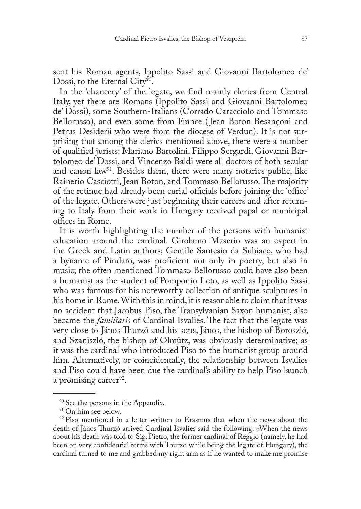sent his Roman agents, Ippolito Sassi and Giovanni Bartolomeo de' Dossi, to the Eternal City $\overline{90}$ .

In the 'chancery' of the legate, we find mainly clerics from Central Italy, yet there are Romans (Ippolito Sassi and Giovanni Bartolomeo de' Dossi), some Southern-Italians (Corrado Caracciolo and Tommaso Bellorusso), and even some from France ( Jean Boton Besançoni and Petrus Desiderii who were from the diocese of Verdun). It is not surprising that among the clerics mentioned above, there were a number of qualified jurists: Mariano Bartolini, Filippo Sergardi, Giovanni Bartolomeo de' Dossi, and Vincenzo Baldi were all doctors of both secular and canon law<sup>91</sup>. Besides them, there were many notaries public, like Rainerio Casciotti, Jean Boton, and Tommaso Bellorusso. The majority of the retinue had already been curial officials before joining the 'office' of the legate. Others were just beginning their careers and after returning to Italy from their work in Hungary received papal or municipal offices in Rome.

It is worth highlighting the number of the persons with humanist education around the cardinal. Girolamo Maserio was an expert in the Greek and Latin authors; Gentile Santesio da Subiaco, who had a byname of Pindaro, was proficient not only in poetry, but also in music; the often mentioned Tommaso Bellorusso could have also been a humanist as the student of Pomponio Leto, as well as Ippolito Sassi who was famous for his noteworthy collection of antique sculptures in his home in Rome. With this in mind, it is reasonable to claim that it was no accident that Jacobus Piso, the Transylvanian Saxon humanist, also became the *familiaris* of Cardinal Isvalies. The fact that the legate was very close to János Thurzó and his sons, János, the bishop of Boroszló, and Szaniszló, the bishop of Olmütz, was obviously determinative; as it was the cardinal who introduced Piso to the humanist group around him. Alternatively, or coincidentally, the relationship between Isvalies and Piso could have been due the cardinal's ability to help Piso launch a promising career $92$ .

<sup>&</sup>lt;sup>90</sup> See the persons in the Appendix.

<sup>91</sup> On him see below.

 $92$  Piso mentioned in a letter written to Erasmus that when the news about the death of János Thurzó arrived Cardinal Isvalies said the following: «When the news about his death was told to Sig. Pietro, the former cardinal of Reggio (namely, he had been on very confidential terms with Thurzo while being the legate of Hungary), the cardinal turned to me and grabbed my right arm as if he wanted to make me promise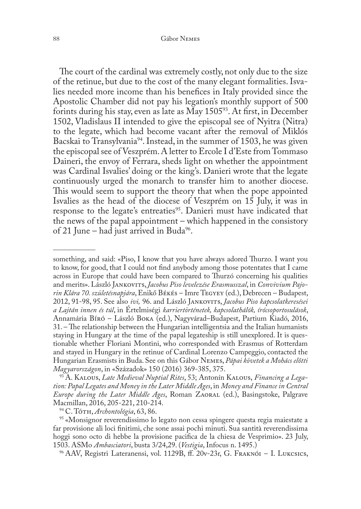The court of the cardinal was extremely costly, not only due to the size of the retinue, but due to the cost of the many elegant formalities. Isvalies needed more income than his benefices in Italy provided since the Apostolic Chamber did not pay his legation's monthly support of 500 forints during his stay, even as late as May 150593. At first, in December 1502, Vladislaus II intended to give the episcopal see of Nyitra (Nitra) to the legate, which had become vacant after the removal of Miklós Bacskai to Transylvania<sup>94</sup>. Instead, in the summer of 1503, he was given the episcopal see of Veszprém. A letter to Ercole I d'Este from Tommaso Daineri, the envoy of Ferrara, sheds light on whether the appointment was Cardinal Isvalies' doing or the king's. Danieri wrote that the legate continuously urged the monarch to transfer him to another diocese. This would seem to support the theory that when the pope appointed Isvalies as the head of the diocese of Veszprém on 15 July, it was in response to the legate's entreaties<sup>95</sup>. Danieri must have indicated that the news of the papal appointment – which happened in the consistory of 21 June – had just arrived in Buda<sup>96</sup>.

<sup>93</sup> A. Kalous, *Late Medieval Nuptial Rites*, 53; Antonín Kalous, *Financing a Legation: Papal Legates and Money in the Later Middle Ages*, in *Money and Finance in Central Europe during the Later Middle Ages*, Roman ZAORAL (ed.), Basingstoke, Palgrave Macmillan, 2016, 205-221, 210-214.

<sup>94</sup> С. То́тн, Archontológia, 63, 86.

<sup>95</sup> «Monsignor reverendissimo lo legato non cessa spingere questa regia maiestate a far provisione ali loci finitimi, che sone assai pochi minuti. Sua santità reverendissima hoggi sono octo di hebbe la provisione pacifica de la chiesa de Vesprimio». 23 July, 1503. ASMo *Ambasciatori*, busta 3/24,29. (*Vestigia*, Infocus n. 1495.)

<sup>96</sup> AAV, Registri Lateranensi, vol. 1129B, ff. 20v-23r, G. Fraknói – I. Lukcsics,

something, and said: «Piso, I know that you have always adored Thurzo. I want you to know, for good, that I could not find anybody among those potentates that I came across in Europe that could have been compared to Thurzó concerning his qualities and merits». László Jankovits, *Jacobus Piso levelezése Erasmusszal*, in *Convivium Pajorin Klára 70. születésnapjára*, Enikő Békés – Imre Tegyey (ed.), Debrecen – Budapest, 2012, 91-98, 95. See also *ivi,* 96. and László Jankovits, *Jacobus Piso kapcsolatkeresései a Lajtán innen és túl*, in Értelmiségi *karriertörténetek, kapcsolathálók, írócsoportosulások*, Annamária Bíró – László Boka (ed.), Nagyvárad–Budapest, Partium Kiadó, 2016, 31. – The relationship between the Hungarian intelligentsia and the Italian humanists staying in Hungary at the time of the papal legateship is still unexplored. It is questionable whether Floriani Montini, who corresponded with Erasmus of Rotterdam and stayed in Hungary in the retinue of Cardinal Lorenzo Campeggio, contacted the Hungarian Erasmists in Buda. See on this Gábor Nemes, *Pápai követek a Mohács előtti Magyarországon*, in «Századok» 150 (2016) 369-385, 375.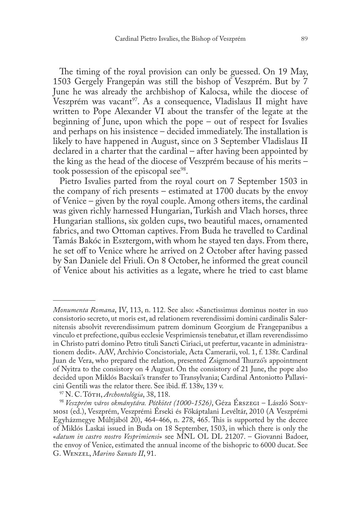The timing of the royal provision can only be guessed. On 19 May, 1503 Gergely Frangepán was still the bishop of Veszprém. But by 7 June he was already the archbishop of Kalocsa, while the diocese of Veszprém was vacant<sup>97</sup>. As a consequence, Vladislaus II might have written to Pope Alexander VI about the transfer of the legate at the beginning of June, upon which the pope – out of respect for Isvalies and perhaps on his insistence – decided immediately. The installation is likely to have happened in August, since on 3 September Vladislaus II declared in a charter that the cardinal – after having been appointed by the king as the head of the diocese of Veszprém because of his merits – took possession of the episcopal see<sup>98</sup>.

Pietro Isvalies parted from the royal court on 7 September 1503 in the company of rich presents – estimated at 1700 ducats by the envoy of Venice – given by the royal couple. Among others items, the cardinal was given richly harnessed Hungarian, Turkish and Vlach horses, three Hungarian stallions, six golden cups, two beautiful maces, ornamented fabrics, and two Ottoman captives. From Buda he travelled to Cardinal Tamás Bakóc in Esztergom, with whom he stayed ten days. From there, he set off to Venice where he arrived on 2 October after having passed by San Daniele del Friuli. On 8 October, he informed the great council of Venice about his activities as a legate, where he tried to cast blame

*Monumenta Romana*, IV, 113, n. 112. See also: «Sanctissimus dominus noster in suo consistorio secreto, ut moris est, ad relationem reverendissimi domini cardinalis Salernitensis absolvit reverendissimum patrem dominum Georgium de Frangepanibus a vinculo et prefectione, quibus ecclesie Vesprimiensis tenebatur, et illam reverendissimo in Christo patri domino Petro tituli Sancti Ciriaci, ut prefertur, vacante in administrationem dedit». AAV, Archivio Concistoriale, Acta Camerarii, vol. 1, f. 138r. Cardinal Juan de Vera, who prepared the relation, presented Zsigmond Thurzó's appointment of Nyitra to the consistory on 4 August. On the consistory of 21 June, the pope also decided upon Miklós Bacskai's transfer to Transylvania; Cardinal Antoniotto Pallavicini Gentili was the relator there. See ibid. ff. 138v, 139 v.

<sup>&</sup>lt;sup>97</sup> N. C. То́тн, Archontológia, 38, 118.

<sup>98</sup> *Veszprém város okmánytára. Pótkötet (1000-1526)*, Géza Érszegi – László Solymosi (ed.), Veszprém, Veszprémi Érseki és Főkáptalani Levéltár, 2010 (A Veszprémi Egyházmegye Múltjából 20), 464-466, n. 278, 465. This is supported by the decree of Miklós Laskai issued in Buda on 18 September, 1503, in which there is only the «*datum in castro nostro Vesprimiensi*» see MNL OL DL 21207. – Giovanni Badoer, the envoy of Venice, estimated the annual income of the bishopric to 6000 ducat. See G. Wenzel, *Marino Sanuto II*, 91.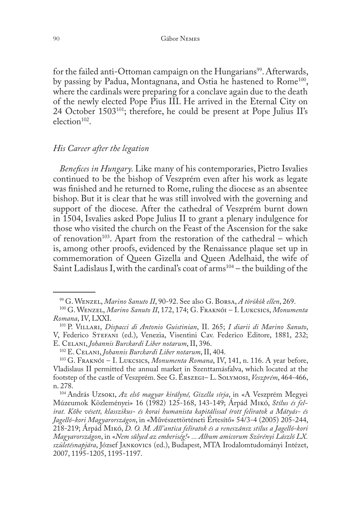for the failed anti-Ottoman campaign on the Hungarians<sup>99</sup>. Afterwards, by passing by Padua, Montagnana, and Ostia he hastened to Rome<sup>100</sup>, where the cardinals were preparing for a conclave again due to the death of the newly elected Pope Pius III. He arrived in the Eternal City on 24 October 1503101; therefore, he could be present at Pope Julius II's  $election^{102}$ .

## *His Career after the legation*

*Benefices in Hungary.* Like many of his contemporaries, Pietro Isvalies continued to be the bishop of Veszprém even after his work as legate was finished and he returned to Rome, ruling the diocese as an absentee bishop. But it is clear that he was still involved with the governing and support of the diocese. After the cathedral of Veszprém burnt down in 1504, Isvalies asked Pope Julius II to grant a plenary indulgence for those who visited the church on the Feast of the Ascension for the sake of renovation<sup>103</sup>. Apart from the restoration of the cathedral – which is, among other proofs, evidenced by the Renaissance plaque set up in commemoration of Queen Gizella and Queen Adelhaid, the wife of Saint Ladislaus I, with the cardinal's coat of arms<sup>104</sup> – the building of the

<sup>99</sup> G. Wenzel, *Marino Sanuto II*, 90-92. See also G. Borsa, *A törökök ellen*, 269.

<sup>100</sup> G. Wenzel, *Marino Sanuto II*, 172, 174; G. Fraknói – I. Lukcsics, *Monumenta Romana*, IV, LXXI.

<sup>101</sup> P. Villari, *Dispacci di Antonio Guistinian*, II. 265; *I diarii di Marino Sanuto*, V, Federico STEFANI (ed.), Venezia, Visentini Cav. Federico Editore, 1881, 232; E. Celani, *Johannis Burckardi Liber notarum*, II, 396.

<sup>102</sup> E. Celani, *Johannis Burckardi Liber notarum*, II, 404.

<sup>103</sup> G. Fraknói – I. Lukcsics, *Monumenta Romana*, IV, 141, n. 116. A year before, Vladislaus II permitted the annual market in Szenttamásfalva, which located at the footstep of the castle of Veszprém. See G. Érszegi– L. Solymosi, *Veszprém*, 464-466, n. 278.

<sup>104</sup> András Uzsoki, *Az első magyar királyné, Gizella sírja*, in «A Veszprém Megyei Múzeumok Közleményei» 16 (1982) 125-168, 143-149; Árpád Mikó, *Stílus és felirat. Kőbe vésett, klasszikus- és korai humanista kapitálissal írott feliratok a Mátyás- és Jagelló-kori Magyarországon*, in «Művészettörténeti Értesítő» 54/3-4 (2005) 205-244, 218-219; Árpád Mikó, *D. O. M. All'antica feliratok és a reneszánsz stílus a Jagelló-kori Magyarországon*, in «*Nem sűlyed az emberiség!» ... Album amicorum Szörényi László LX. születésnapjára*, József Jankovics (ed.), Budapest, MTA Irodalomtudományi Intézet, 2007, 1195-1205, 1195-1197.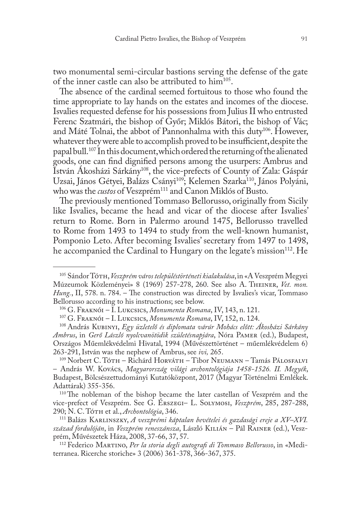two monumental semi-circular bastions serving the defense of the gate of the inner castle can also be attributed to him<sup>105</sup>.

The absence of the cardinal seemed fortuitous to those who found the time appropriate to lay hands on the estates and incomes of the diocese. Isvalies requested defense for his possessions from Julius II who entrusted Ferenc Szatmári, the bishop of Győr; Miklós Bátori, the bishop of Vác; and Máté Tolnai, the abbot of Pannonhalma with this duty106. However, whatever they were able to accomplish proved to be insufficient, despite the papal bull.107 In this document, which ordered the returning of the alienated goods, one can find dignified persons among the usurpers: Ambrus and István Ákosházi Sárkány108, the vice-prefects of County of Zala: Gáspár Uzsai, János Gétyei, Balázs Csányi109; Kelemen Szarka110, János Polyáni, who was the *custos* of Veszprém<sup>111</sup> and Canon Miklós of Busto.

The previously mentioned Tommaso Bellorusso, originally from Sicily like Isvalies, became the head and vicar of the diocese after Isvalies' return to Rome. Born in Palermo around 1475, Bellorusso travelled to Rome from 1493 to 1494 to study from the well-known humanist, Pomponio Leto. After becoming Isvalies' secretary from 1497 to 1498, he accompanied the Cardinal to Hungary on the legate's mission<sup>112</sup>. He

<sup>105</sup> Sándor Tóth, *Veszprém város településtörténeti kialakulása*, in «A Veszprém Megyei Múzeumok Közleményei» 8 (1969) 257-278, 260. See also A. Theiner, *Vet. mon. Hung.*, II, 578. n. 784. – The construction was directed by Isvalies's vicar, Tommaso Bellorusso according to his instructions; see below.

<sup>106</sup> G. Fraknói – I. Lukcsics, *Monumenta Romana*, IV, 143, n. 121.

<sup>107</sup> G. Fraknói – I. Lukcsics, *Monumenta Romana*, IV, 152, n. 124.

<sup>108</sup> András Kubinyi, *Egy üzletelő és diplomata várúr Mohács előtt: Ákosházi Sárkány Ambrus*, in *Gerő László nyolcvanötödik születésnapjára*, Nóra Pamer (ed.), Budapest, Országos Műemlékvédelmi Hivatal, 1994 (Művészettörténet – műemlékvédelem 6) 263-291, István was the nephew of Ambrus, see *ivi,* 265.

<sup>109</sup> Norbert C. Tóth – Richárd Horváth – Tibor Neumann – Tamás Pálosfalvi – András W. Kovács, *Magyarország világi archontológiája 1458-1526. II. Megyék*, Budapest, Bölcsészettudományi Kutatóközpont, 2017 (Magyar Történelmi Emlékek. Adattárak) 355-356.

<sup>&</sup>lt;sup>110</sup>The nobleman of the bishop became the later castellan of Veszprém and the vice-prefect of Veszprém. See G. Érszegi– L. Solymosi, *Veszprém*, 285, 287-288, 290; N. C. Tóth et al., *Archontológia*, 346.

<sup>111</sup> Balázs Karlinszky, *A veszprémi káptalan bevételei és gazdasági ereje a XV–XVI. század fordulóján*, in *Veszprém reneszánsza*, László Kilián – Pál Rainer (ed.), Veszprém, Művészetek Háza, 2008, 37-66, 37, 57.

<sup>112</sup> Federico Martino, *Per la storia degli autografi di Tommaso Bellorusso*, in «Mediterranea. Ricerche storiche» 3 (2006) 361-378, 366-367, 375.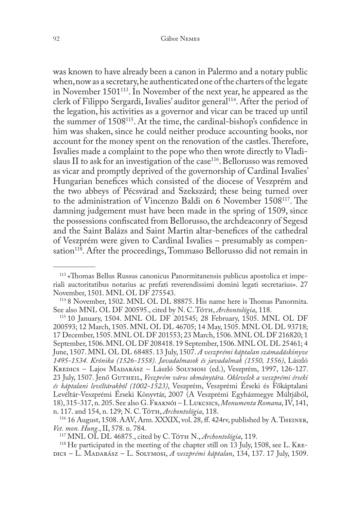was known to have already been a canon in Palermo and a notary public when, now as a secretary, he authenticated one of the charters of the legate in November 1501113. In November of the next year, he appeared as the clerk of Filippo Sergardi, Isvalies' auditor general<sup>114</sup>. After the period of the legation, his activities as a governor and vicar can be traced up until the summer of 1508115. At the time, the cardinal-bishop's confidence in him was shaken, since he could neither produce accounting books, nor account for the money spent on the renovation of the castles. Therefore, Isvalies made a complaint to the pope who then wrote directly to Vladislaus II to ask for an investigation of the case<sup>116</sup>. Bellorusso was removed as vicar and promptly deprived of the governorship of Cardinal Isvalies' Hungarian benefices which consisted of the diocese of Veszprém and the two abbeys of Pécsvárad and Szekszárd; these being turned over to the administration of Vincenzo Baldi on 6 November 1508117. The damning judgement must have been made in the spring of 1509, since the possessions confiscated from Bellorusso, the archdeaconry of Segesd and the Saint Balázs and Saint Martin altar-benefices of the cathedral of Veszprém were given to Cardinal Isvalies – presumably as compensation<sup>118</sup>. After the proceedings, Tommaso Bellorusso did not remain in

<sup>113</sup> «Thomas Bellus Russus canonicus Panormitanensis publicus apostolica et imperiali auctoritatibus notarius ac prefati reverendissimi domini legati secretarius». 27 November, 1501. MNL OL DF 275543.

<sup>114</sup> 8 November, 1502. MNL OL DL 88875. His name here is Thomas Panormita. See also MNL OL DF 200595., cited by N. C. Тóтн, *Archontológia*, 118.

<sup>115</sup> 10 January, 1504. MNL OL DF 201545; 28 February, 1505. MNL OL DF 200593; 12 March, 1505. MNL OL DL 46705; 14 May, 1505. MNL OL DL 93718; 17 December, 1505. MNL OL DF 201553; 23 March, 1506. MNL OL DF 216820; 1 September, 1506. MNL OL DF 208418. 19 September, 1506. MNL OL DL 25461; 4 June, 1507. MNL OL DL 68485. 13 July, 1507. *A veszprémi káptalan számadáskönyve 1495-1534. Krónika (1526-1558). Javadalmasok és javadalmak (1550, 1556)*, László Kredics – Lajos Madarász – László Solymosi (ed.), Veszprém, 1997, 126-127. 23 July, 1507. Jenő Gutheil, *Veszprém város okmánytára. Oklevelek a veszprémi érseki és káptalani levéltárakból (1002-1523)*, Veszprém, Veszprémi Érseki és Főkáptalani Levéltár-Veszprémi Érseki Könyvtár, 2007 (A Veszprémi Egyházmegye Múltjából, 18), 315-317, n. 205. See also G. Fraknói – I. Lukcsics,*Monumenta Romana*, IV, 141, n. 117. and 154, n. 129; N. C. То́тн, *Archontológia*, 118.

<sup>116</sup> 16 August, 1508. AAV, Arm. XXXIX, vol. 28, ff. 424rv, published by A. Theiner, *Vet. mon. Hung.*, II, 578. n. 784.

<sup>117</sup> MNL OL DL 46875., cited by C. TóTH N., Archontológia, 119.

 $118$  He participated in the meeting of the chapter still on 13 July, 1508, see L. KREdics – L. Madarász – L. Solymosi, *A veszprémi káptalan*, 134, 137. 17 July, 1509.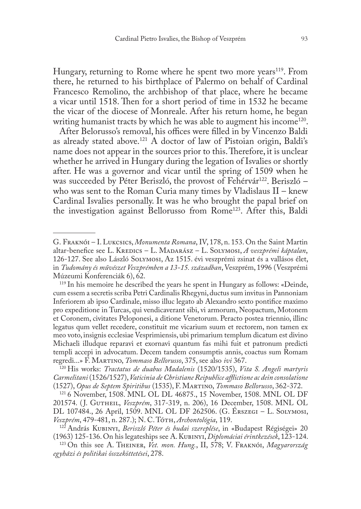Hungary, returning to Rome where he spent two more years<sup>119</sup>. From there, he returned to his birthplace of Palermo on behalf of Cardinal Francesco Remolino, the archbishop of that place, where he became a vicar until 1518. Then for a short period of time in 1532 he became the vicar of the diocese of Monreale. After his return home, he began writing humanist tracts by which he was able to augment his income<sup>120</sup>.

After Belorusso's removal, his offices were filled in by Vincenzo Baldi as already stated above.121 A doctor of law of Pistoian origin, Baldi's name does not appear in the sources prior to this. Therefore, it is unclear whether he arrived in Hungary during the legation of Isvalies or shortly after. He was a governor and vicar until the spring of 1509 when he was succeeded by Péter Beriszló, the provost of Fehérvár<sup>122</sup>. Beriszló – who was sent to the Roman Curia many times by Vladislaus II – knew Cardinal Isvalies personally. It was he who brought the papal brief on the investigation against Bellorusso from Rome123. After this, Baldi

G. Fraknói – I. Lukcsics, *Monumenta Romana*, IV, 178, n. 153. On the Saint Martin altar-benefice see L. KREDICS – L. MADARÁSZ – L. SOLYMOSI, A veszprémi káptalan, 126-127. See also László Solymosi, Az 1515. évi veszprémi zsinat és a vallásos élet, in *Tudomány és művészet Veszprémben a 13-15. században*, Veszprém, 1996 (Veszprémi Múzeumi Konferenciák 6), 62.

<sup>119</sup> In his memoire he described the years he spent in Hungary as follows: «Deinde, cum essem a secretis scriba Petri Cardinalis Rhegyni, ductus sum invitus in Pannoniam Inferiorem ab ipso Cardinale, misso illuc legato ab Alexandro sexto pontifice maximo pro expeditione in Turcas, qui vendicaverant sibi, vi armorum, Neopactum, Motonem et Coronem, civitates Peloponesi, a ditione Venetorum. Peracto postea triennio, illinc legatus qum vellet recedere, constituit me vicarium suum et rectorem, non tamen ex meo voto, insignis ecclesiae Vesprimiensis, ubi primarium templum dicatum est divino Michaeli illudque reparavi et exornavi quantum fas mihi fuit et patronum predicti templi accepi in advocatum. Decem tandem consumptis annis, coactus sum Romam regredi...» F. Martino, *Tommaso Bellorusso*, 375, see also *ivi* 367.

<sup>120</sup> His works: *Tractatus de duabus Madalenis* (1520/1535), *Vita S. Angeli martyris Carmelitani* (1526/1527), *Vaticinia de Christiane Reipublice afflictione ac dein consolatione* (1527), *Opus de Septem Spiritibus* (1535), F. Martino, *Tommaso Bellorusso*, 362-372.

<sup>121</sup> 6 November, 1508. MNL OL DL 46875., 15 November, 1508. MNL OL DF 201574. ( J. Gutheil, *Veszprém*, 317-319, n. 206), 16 December, 1508. MNL OL DL 107484., 26 April, 1509. MNL OL DF 262506. (G. Érszegi – L. Solymosi, *Veszprém*, 479-481, n. 287.); N. C. Tóth, *Archontológia*, 119.

<sup>122</sup> András Kubinyi, *Beriszló Péter és budai szereplése*, in «Budapest Régiségei» 20 (1963) 125-136. On his legateships see A. Kubinyi, *Diplomáciai érintkezések*, 123-124.

<sup>123</sup> On this see A. Theiner, *Vet. mon. Hung.*, II, 578; V. Fraknói, *Magyarország egyházi és politikai összeköttetései*, 278.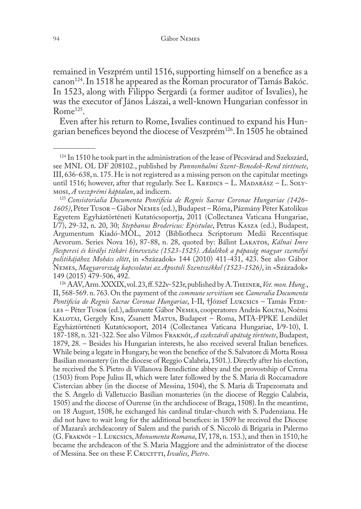remained in Veszprém until 1516, supporting himself on a benefice as a canon<sup>124</sup>. In 1518 he appeared as the Roman procurator of Tamás Bakóc. In 1523, along with Filippo Sergardi (a former auditor of Isvalies), he was the executor of János Lászai, a well-known Hungarian confessor in Rome<sup>125</sup>.

Even after his return to Rome, Isvalies continued to expand his Hungarian benefices beyond the diocese of Veszprém126. In 1505 he obtained

<sup>125</sup> *Consistorialia Documenta Pontificia de Regnis Sacrae Coronae Hungariae (1426- 1605)*, Péter Tusor – Gábor Nemes (ed.), Budapest – Róma, Pázmány Péter Katolikus Egyetem Egyháztörténeti Kutatócsoportja, 2011 (Collectanea Vaticana Hungariae, I/7), 29-32, n. 20, 30; *Stephanus Brodericus: Epistulae*, Petrus Kasza (ed.), Budapest, Argumentum Kiadó-MOL, 2012 (Bibliotheca Scriptorum Medii Recentisque Aevorum. Series Nova 16), 87-88, n. 28, quoted by: Bálint Lakatos, *Kálnai Imre főesperesi és királyi titkári kinevezése (1523-1525). Adalékok a pápaság magyar személyi politikájához Mohács előtt*, in «Századok» 144 (2010) 411-431, 423. See also Gábor Nemes, *Magyarország kapcsolatai az Apostoli Szentszékkel (1523-1526)*, in «Századok» 149 (2015) 479-506, 492.

<sup>126</sup> AAV, Arm. XXXIX, vol. 23, ff. 522v-523r, published by A. Theiner,*Vet. mon. Hung.*, II, 568-569. n. 763. On the payment of the *commune servitium* see *Cameralia Documenta*  Pontificia de Regnis Sacrae Coronae Hungariae, I-II, †József Lukcsics - Tamás FEDE-LES – Péter Tusor (ed.), adiuvante Gábor NEMES, cooperatores András KOLTAI, Noémi KALOTAI, Gergely KIss, Zsanett MATUS, Budapest - Roma, MTA-PPKE Lendület Egyháztörténeti Kutatócsoport, 2014 (Collectanea Vaticana Hungariae, I/9-10), I. 187-188, n. 321-322. See also Vilmos Fraknói, *A szekszárdi apátság története*, Budapest, 1879, 28. – Besides his Hungarian interests, he also received several Italian benefices. While being a legate in Hungary, he won the benefice of the S. Salvatore di Motta Rossa Basilian monastery (in the diocese of Reggio Calabria, 1501.). Directly after his election, he received the S. Pietro di Villanova Benedictine abbey and the provostship of Crema (1503) from Pope Julius II, which were later followed by the S. Maria di Roccamadore Cistercian abbey (in the diocese of Messina, 1504), the S. Maria di Trapezomata and the S. Angelo di Valletuccio Basilian monasteries (in the diocese of Reggio Calabria, 1505) and the diocese of Ourense (in the archdiocese of Braga, 1508). In the meantime, on 18 August, 1508, he exchanged his cardinal titular-church with S. Pudenziana. He did not have to wait long for the additional benefices: in 1509 he received the Diocese of Mazara's archdeaconry of Salem and the parish of S. Niccolò di Brigaria in Palermo (G. Fraknói – I. Lukcsics,*Monumenta Romana*, IV, 178, n. 153.), and then in 1510, he became the archdeacon of the S. Maria Maggiore and the administrator of the diocese of Messina. See on these F. Crucitti,*Isvalies*, *Pietro*.

<sup>&</sup>lt;sup>124</sup> In 1510 he took part in the administration of the lease of Pécsvárad and Szekszárd, see MNL OL DF 208102., published by *Pannonhalmi Szent-Benedek-Rend története*, III, 636-638, n. 175. He is not registered as a missing person on the capitular meetings until 1516; however, after that regularly. See L. KREDICS  $-$  L. MADARÁSZ  $-$  L. Solymosi, *A veszprémi káptalan*, ad indicem.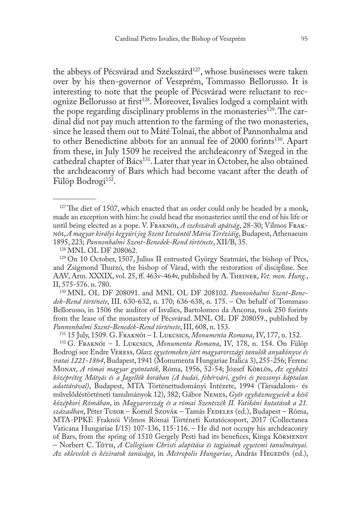the abbeys of Pécsvárad and Szekszárd<sup>127</sup>, whose businesses were taken over by his then-governor of Veszprém, Tommasso Bellorusso. It is interesting to note that the people of Pécsvárad were reluctant to recognize Bellorusso at first<sup>128</sup>. Moreover, Isvalies lodged a complaint with the pope regarding disciplinary problems in the monasteries<sup>129</sup>. The cardinal did not pay much attention to the farming of the two monasteries, since he leased them out to Máté Tolnai, the abbot of Pannonhalma and to other Benedictine abbots for an annual fee of 2000 forints<sup>130</sup>. Apart from these, in July 1509 he received the archdeaconry of Szeged in the cathedral chapter of Bács<sup>131</sup>. Later that year in October, he also obtained the archdeaconry of Bars which had become vacant after the death of Fülöp Bodrogi<sup>132</sup>.

<sup>130</sup> MNL OL DF 208091. and MNL OL DF 208102. *Pannonhalmi Szent-Benedek-Rend története*, III. 630-632, n. 170; 636-638, n. 175. – On behalf of Tommaso Bellorusso, in 1506 the auditor of Isvalies, Bartolomeo da Ancona, took 250 forints from the lease of the monastery of Pécsvárad. MNL OL DF 208059., published by *Pannonhalmi Szent-Benedek-Rend története*, III, 608, n. 153.

<sup>131</sup> 15 July, 1509. G. Fraknói – I. Lukcsics, *Monumenta Romana*, IV, 177, n. 152.

<sup>132</sup> G. Fraknói – I. Lukcsics, *Monumenta Romana*, IV, 178, n. 154. On Fülöp Bodrogi see Endre Veress, *Olasz egyetemeken járt magyarországi tanulók anyakönyve és iratai 1221-1864*, Budapest, 1941 (Monumenta Hungariae Italica 3), 255-256; Ferenc Monay, *A római magyar gyóntatók*, Róma, 1956, 52-54; József Köblös, *Az egyházi középréteg Mátyás és a Jagellók korában (A budai, fehérvári, győri és pozsonyi káptalan adattárával)*, Budapest, MTA Történettudományi Intézete, 1994 (Társadalom- és művelődéstörténeti tanulmányok 12), 382; Gábor Nemes, *Győr egyházmegyeiek a késő középkori Rómában*, in *Magyarország és a római Szentszék II. Vatikáni kutatások a 21. században*, Péter Tusor – Kornél Szovák – Tamás Fedeles (ed.), Budapest – Róma, MTA-PPKE Fraknói Vilmos Római Történeti Kutatócsoport, 2017 (Collectanea Vaticana Hungariae I/15) 107-136, 115-116. – He did not occupy his archdeaconry of Bars, from the spring of 1510 Gergely Pesti had its benefices, Kinga Körmendy – Norbert C. Tóth, *A Collegium Christi alapítása és tagjainak egyetemi tanulmányai. Az oklevelek és kéziratok tanúsága*, in *Metropolis Hungariae*, András Hegedűs (ed.),

<sup>&</sup>lt;sup>127</sup>The diet of 1507, which enacted that an order could only be headed by a monk, made an exception with him: he could head the monasteries until the end of his life or until being elected as a pope. V. Fraknói, *A szekszárdi apátság*, 28-30; Vilmos Fraknói, *A magyar királyi kegyúri jog Szent Istvántól Mária Teréziáig*, Budapest, Athenaeum 1895, 223; *Pannonhalmi Szent-Benedek-Rend története*, XII/B, 35.

<sup>128</sup> MNL OL DF 208062.

<sup>129</sup> On 10 October, 1507, Julius II entrusted György Szatmári, the bishop of Pécs, and Zsigmond Thurzó, the bishop of Várad, with the restoration of discipline. See AAV, Arm. XXXIX, vol. 25, ff. 463v-464v, published by A. Theiner, *Vet. mon. Hung.*, II, 575-576. n. 780.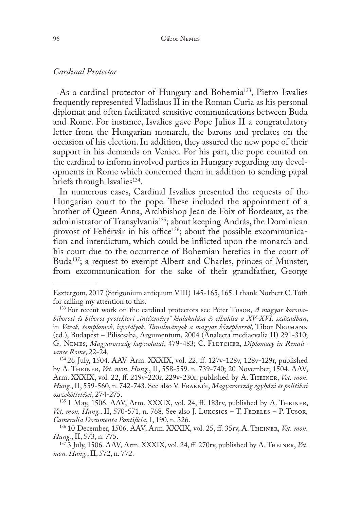#### *Cardinal Protector*

As a cardinal protector of Hungary and Bohemia<sup>133</sup>, Pietro Isvalies frequently represented Vladislaus II in the Roman Curia as his personal diplomat and often facilitated sensitive communications between Buda and Rome. For instance, Isvalies gave Pope Julius II a congratulatory letter from the Hungarian monarch, the barons and prelates on the occasion of his election. In addition, they assured the new pope of their support in his demands on Venice. For his part, the pope counted on the cardinal to inform involved parties in Hungary regarding any developments in Rome which concerned them in addition to sending papal briefs through Isvalies<sup>134</sup>.

In numerous cases, Cardinal Isvalies presented the requests of the Hungarian court to the pope. These included the appointment of a brother of Queen Anna, Archbishop Jean de Foix of Bordeaux, as the administrator of Transylvania135; about keeping András, the Dominican provost of Fehérvár in his office<sup>136</sup>; about the possible excommunication and interdictum, which could be inflicted upon the monarch and his court due to the occurrence of Bohemian heretics in the court of Buda137; a request to exempt Albert and Charles, princes of Munster, from excommunication for the sake of their grandfather, George

Esztergom, 2017 (Strigonium antiquum VIII) 145-165, 165. I thank Norbert C. Tóth for calling my attention to this.

<sup>133</sup> For recent work on the cardinal protectors see Péter Tusor, *A magyar koronabíborosi és bíboros protektori "intézmény" kialakulása és elhalása a XV-XVI. században*, in *Várak, templomok, ispotályok. Tanulmányok a magyar középkorról*, Tibor Neumann (ed.), Budapest – Piliscsaba, Argumentum, 2004 (Analecta mediaevalia II) 291-310; G. NEMES, Magyarország kapcsolatai, 479-483; C. FLETCHER, Diplomacy in Renais*sance Rome*, 22-24.

<sup>134</sup> 26 July, 1504. AAV Arm. XXXIX, vol. 22, ff. 127v-128v, 128v-129r, published by A. Theiner, *Vet. mon. Hung.*, II, 558-559. n. 739-740; 20 November, 1504. AAV, Arm. XXXIX, vol. 22, ff. 219v-220r, 229v-230r, published by A. Theiner, *Vet. mon. Hung.*, II, 559-560, n. 742-743. See also V. Fraknói, *Magyarország egyházi és politikai összeköttetései*, 274-275.

 $135$  1 May, 1506. AAV, Arm. XXXIX, vol. 24, ff. 183rv, published by A. THEINER, Vet. mon. Hung., II, 570-571, n. 768. See also J. Lukcsics - T. FEDELES - P. Tusor, *Cameralia Documenta Pontificia*, I, 190, n. 326.

<sup>136</sup> 10 December, 1506. AAV, Arm. XXXIX, vol. 25, ff. 35rv, A. Theiner, *Vet. mon. Hung.*, II, 573, n. 775.

<sup>137</sup> 3 July, 1506. AAV, Arm. XXXIX, vol. 24, ff. 270rv, published by A. Theiner, *Vet. mon. Hung.*, II, 572, n. 772.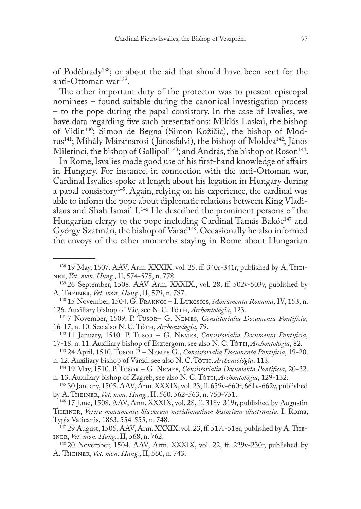of Poděbrady138; or about the aid that should have been sent for the anti-Ottoman war<sup>139</sup>.

The other important duty of the protector was to present episcopal nominees – found suitable during the canonical investigation process – to the pope during the papal consistory. In the case of Isvalies, we have data regarding five such presentations: Miklós Laskai, the bishop of Vidin140; Simon de Begna (Simon Kožičić), the bishop of Modrus141; Mihály Máramarosi ( Jánosfalvi), the bishop of Moldva142; János Miletinci, the bishop of Gallipoli<sup>143</sup>; and András, the bishop of Roson<sup>144</sup>.

In Rome, Isvalies made good use of his first-hand knowledge of affairs in Hungary. For instance, in connection with the anti-Ottoman war, Cardinal Isvalies spoke at length about his legation in Hungary during a papal consistory<sup>145</sup>. Again, relying on his experience, the cardinal was able to inform the pope about diplomatic relations between King Vladislaus and Shah Ismail I.146 He described the prominent persons of the Hungarian clergy to the pope including Cardinal Tamás Bakóc<sup>147</sup> and György Szatmári, the bishop of Várad<sup>148</sup>. Occasionally he also informed the envoys of the other monarchs staying in Rome about Hungarian

- <sup>140</sup> 15 November, 1504. G. Fraknói I. Lukcsics, *Monumenta Romana*, IV, 153, n. 126. Auxiliary bishop of Vác, see N. C. То́тн, *Archontológia*, 123.
- <sup>141</sup> 7 November, 1509. P. Tusor– G. Nemes, *Consistorialia Documenta Pontificia*, 16-17, n. 10. See also N. С. То́тн, *Archontológia*, 79.
- <sup>142</sup> 11 January, 1510. P. Tusor G. Nemes, *Consistorialia Documenta Pontificia*, 17-18. n. 11. Auxiliary bishop of Esztergom, see also N. C. Tó $TH$ , *Archontológia*, 82.
- <sup>143</sup> 24 April, 1510. Tusor P. Nemes G., *Consistorialia Documenta Pontificia*, 19-20. n. 12. Auxiliary bishop of Várad, see also N. C. Tó $TH$ , *Archontológia*, 113.
- <sup>144</sup> 19 May, 1510. P. Tusor G. Nemes, *Consistorialia Documenta Pontificia*, 20-22. n. 13. Auxiliary bishop of Zagreb, see also N. C. Тóтн, Archontológia, 129-132.

<sup>138</sup> 19 May, 1507. AAV, Arm. XXXIX, vol. 25, ff. 340r-341r, published by A. Theiner, *Vet. mon. Hung.*, II, 574-575, n. 778.

<sup>139</sup> 26 September, 1508. AAV Arm. XXXIX., vol. 28, ff. 502v-503v, published by A. Theiner, *Vet. mon. Hung.*, II, 579, n. 787.

<sup>145</sup> 30 January, 1505. AAV, Arm. XXXIX, vol. 23, ff. 659v-660r, 661v-662v, published by A. Theiner, *Vet. mon. Hung.*, II, 560. 562-563, n. 750-751.

<sup>146</sup> 17 June, 1508. AAV, Arm. XXXIX, vol. 28, ff. 318v-319r, published by Augustin Theiner, *Vetera monumenta Slavorum meridionalium historiam illustrantia*. I. Roma, Typis Vaticanis, 1863, 554-555, n. 748.

<sup>147</sup> 29 August, 1505. AAV, Arm. XXXIX, vol. 23, ff. 517r-518r, published by A. Theiner, *Vet. mon. Hung.*, II, 568, n. 762.

<sup>148</sup> 20 November, 1504. AAV, Arm. XXXIX, vol. 22, ff. 229v-230r, published by A. Theiner, *Vet. mon. Hung.*, II, 560, n. 743.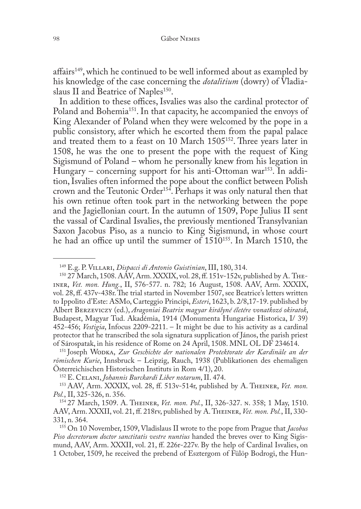affairs<sup>149</sup>, which he continued to be well informed about as exampled by his knowledge of the case concerning the *dotalitium* (dowry) of Vladiaslaus II and Beatrice of Naples<sup>150</sup>.

In addition to these offices, Isvalies was also the cardinal protector of Poland and Bohemia<sup>151</sup>. In that capacity, he accompanied the envoys of King Alexander of Poland when they were welcomed by the pope in a public consistory, after which he escorted them from the papal palace and treated them to a feast on 10 March 1505152. Three years later in 1508, he was the one to present the pope with the request of King Sigismund of Poland – whom he personally knew from his legation in Hungary – concerning support for his anti-Ottoman war<sup>153</sup>. In addition, Isvalies often informed the pope about the conflict between Polish crown and the Teutonic Order<sup>154</sup>. Perhaps it was only natural then that his own retinue often took part in the networking between the pope and the Jagiellonian court. In the autumn of 1509, Pope Julius II sent the vassal of Cardinal Isvalies, the previously mentioned Transylvanian Saxon Jacobus Piso, as a nuncio to King Sigismund, in whose court he had an office up until the summer of 1510155. In March 1510, the

<sup>149</sup> E.g. P. Villari, *Dispacci di Antonio Guistinian*, III, 180, 314.

<sup>150</sup> 27 March, 1508. AAV, Arm. XXXIX, vol. 28, ff. 151v-152v, published by A. Theiner, *Vet. mon. Hung.*, II, 576-577. n. 782; 16 August, 1508. AAV, Arm. XXXIX, vol. 28, ff. 437v-438r. The trial started in November 1507, see Beatrice's letters written to Ippolito d'Este: ASMo, Carteggio Principi, *Esteri*, 1623, b. 2/8,17-19. published by Albert Berzeviczy (ed.), *Aragoniai Beatrix magyar királyné életére vonatkozó okiratok*, Budapest, Magyar Tud. Akadémia, 1914 (Monumenta Hungariae Historica, I/ 39) 452-456; *Vestigia*, Infocus 2209-2211. – It might be due to his activity as a cardinal protector that he transcribed the sola signatura supplication of János, the parish priest of Sárospatak, in his residence of Rome on 24 April, 1508. MNL OL DF 234614.

<sup>151</sup> Joseph Wodka, *Zur Geschichte der nationalen Protektorate der Kardinäle an der römischen Kurie*, Innsbruck – Leipzig, Rauch, 1938 (Publikationen des ehemaligen Österreichischen Historischen Instituts in Rom 4/1), 20.

<sup>152</sup> E. Celani, *Johannis Burckardi Liber notarum*, II. 474.

<sup>153</sup> AAV, Arm. XXXIX, vol. 28, ff. 513v-514r, published by A. Theiner, *Vet. mon. Pol.*, II, 325-326, n. 356.

<sup>154</sup> 27 March, 1509. A. Theiner, *Vet. mon. Pol.*, II, 326-327. n. 358; 1 May, 1510. AAV, Arm. XXXII, vol. 21, ff. 218rv, published by A. Theiner, *Vet. mon. Pol.*, II, 330- 331, n. 364.

<sup>155</sup> On 10 November, 1509, Vladislaus II wrote to the pope from Prague that *Jacobus Piso decretorum doctor sanctitatis vestre nuntius* handed the breves over to King Sigismund, AAV, Arm. XXXII, vol. 21, ff. 226r-227v. By the help of Cardinal Isvalies, on 1 October, 1509, he received the prebend of Esztergom of Fülöp Bodrogi, the Hun-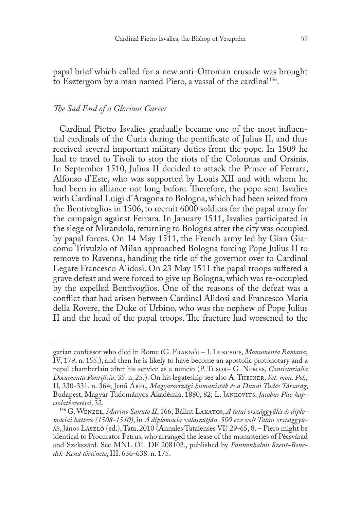papal brief which called for a new anti-Ottoman crusade was brought to Esztergom by a man named Piero, a vassal of the cardinal<sup>156</sup>.

## *The Sad End of a Glorious Career*

Cardinal Pietro Isvalies gradually became one of the most influential cardinals of the Curia during the pontificate of Julius II, and thus received several important military duties from the pope. In 1509 he had to travel to Tivoli to stop the riots of the Colonnas and Orsinis. In September 1510, Julius II decided to attack the Prince of Ferrara, Alfonso d'Este, who was supported by Louis XII and with whom he had been in alliance not long before. Therefore, the pope sent Isvalies with Cardinal Luigi d'Aragona to Bologna, which had been seized from the Bentivoglios in 1506, to recruit 6000 soldiers for the papal army for the campaign against Ferrara. In January 1511, Isvalies participated in the siege of Mirandola, returning to Bologna after the city was occupied by papal forces. On 14 May 1511, the French army led by Gian Giacomo Trivulzio of Milan approached Bologna forcing Pope Julius II to remove to Ravenna, handing the title of the governor over to Cardinal Legate Francesco Alidosi. On 23 May 1511 the papal troops suffered a grave defeat and were forced to give up Bologna, which was re-occupied by the expelled Bentivoglios. One of the reasons of the defeat was a conflict that had arisen between Cardinal Alidosi and Francesco Maria della Rovere, the Duke of Urbino, who was the nephew of Pope Julius II and the head of the papal troops. The fracture had worsened to the

garian confessor who died in Rome (G. Fraknói – I. Lukcsics, *Monumenta Romana*, IV, 179, n. 155.), and then he is likely to have become an apostolic protonotary and a papal chamberlain after his service as a nuncio (P. Tusor– G. Nemes, *Consistorialia Documenta Pontificia*, 35. n. 25.). On his legateship see also A. Theiner, *Vet. mon. Pol.*, II, 330-331. n. 364; Jenő Ábel, *Magyarországi humanisták és a Dunai Tudós Társaság*, Budapest, Magyar Tudományos Akadémia, 1880, 82; L. Jankovits, *Jacobus Piso kapcsolatkeresései*, 32.

<sup>156</sup> G. Wenzel, *Marino Sanuto II*, 166; Bálint Lakatos, *A tatai országgyűlés és diplomáciai háttere (1508-1510)*, in *A diplomácia válaszútján. 500 éve volt Tatán országgyűlés*, János László (ed.), Tata, 2010 (Annales Tataienses VI) 29-65, 8. – Piero might be identical to Procurator Petrus, who arranged the lease of the monasteries of Pécsvárad and Szekszárd. See MNL OL DF 208102., published by *Pannonhalmi Szent-Benedek-Rend története*, III. 636-638. n. 175.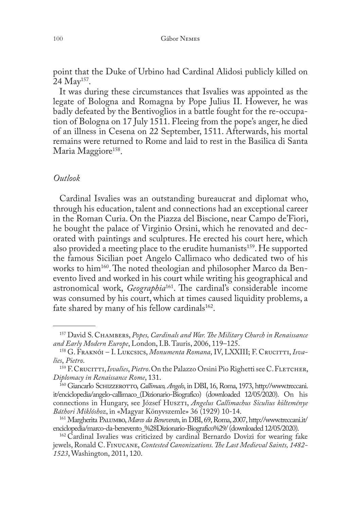point that the Duke of Urbino had Cardinal Alidosi publicly killed on 24 May157.

It was during these circumstances that Isvalies was appointed as the legate of Bologna and Romagna by Pope Julius II. However, he was badly defeated by the Bentivoglios in a battle fought for the re-occupation of Bologna on 17 July 1511. Fleeing from the pope's anger, he died of an illness in Cesena on 22 September, 1511. Afterwards, his mortal remains were returned to Rome and laid to rest in the Basilica di Santa Maria Maggiore<sup>158</sup>.

#### *Outlook*

Cardinal Isvalies was an outstanding bureaucrat and diplomat who, through his education, talent and connections had an exceptional career in the Roman Curia. On the Piazza del Biscione, near Campo de'Fiori, he bought the palace of Virginio Orsini, which he renovated and decorated with paintings and sculptures. He erected his court here, which also provided a meeting place to the erudite humanists<sup>159</sup>. He supported the famous Sicilian poet Angelo Callimaco who dedicated two of his works to him<sup>160</sup>. The noted theologian and philosopher Marco da Benevento lived and worked in his court while writing his geographical and astronomical work, *Geographia*161. The cardinal's considerable income was consumed by his court, which at times caused liquidity problems, a fate shared by many of his fellow cardinals<sup>162</sup>.

<sup>157</sup> David S. Chambers, *Popes, Cardinals and War. The Military Church in Renaissance and Early Modern Europe*, London, I.B. Tauris, 2006, 119–125.

<sup>&</sup>lt;sup>158</sup> G. FRAKNÓI – I. LUKCSICS, Monumenta Romana, IV, LXXIII; F. CRUCITTI, Isva*lies*, *Pietro*.

<sup>159</sup> F. CRUCITTI, *Isvalies*, Pietro. On the Palazzo Orsini Pio Righetti see C. FLETCHER, *Diplomacy in Renaissance Rome*, 131.

<sup>160</sup> Giancarlo Schizzerotto, *Callimaco, Angelo*, in DBI, 16, Roma, 1973, http://www.treccani. it/enciclopedia/angelo-callimaco\_(Dizionario-Biografico) (downloaded 12/05/2020). On his connections in Hungary, see József Huszti, *Angelus Callimachus Siculius költeménye Báthori Miklóshoz*, in «Magyar Könyvszemle» 36 (1929) 10-14.

<sup>161</sup> Margherita Palumbo, *Marco da Benevento*, in DBI, 69, Roma, 2007, http://www.treccani.it/ enciclopedia/marco-da-benevento\_%28Dizionario-Biografico%29/ (downloaded 12/05/2020).

<sup>162</sup> Cardinal Isvalies was criticized by cardinal Bernardo Dovizi for wearing fake jewels, Ronald C. Finucane, *Contested Canonizations. The Last Medieval Saints, 1482- 1523*, Washington, 2011, 120.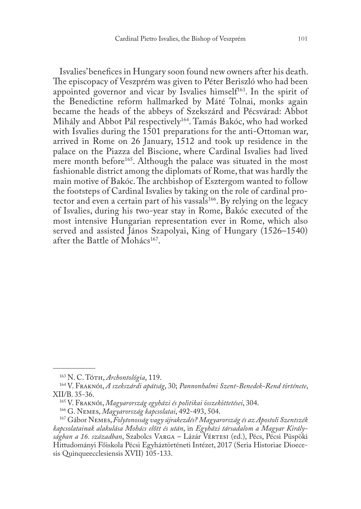Isvalies' benefices in Hungary soon found new owners after his death. The episcopacy of Veszprém was given to Péter Beriszló who had been appointed governor and vicar by Isvalies himself<sup>163</sup>. In the spirit of the Benedictine reform hallmarked by Máté Tolnai, monks again became the heads of the abbeys of Szekszárd and Pécsvárad: Abbot Mihály and Abbot Pál respectively<sup>164</sup>. Tamás Bakóc, who had worked with Isvalies during the 1501 preparations for the anti-Ottoman war, arrived in Rome on 26 January, 1512 and took up residence in the palace on the Piazza del Biscione, where Cardinal Isvalies had lived mere month before<sup>165</sup>. Although the palace was situated in the most fashionable district among the diplomats of Rome, that was hardly the main motive of Bakóc. The archbishop of Esztergom wanted to follow the footsteps of Cardinal Isvalies by taking on the role of cardinal protector and even a certain part of his vassals<sup>166</sup>. By relying on the legacy of Isvalies, during his two-year stay in Rome, Bakóc executed of the most intensive Hungarian representation ever in Rome, which also served and assisted János Szapolyai, King of Hungary (1526–1540) after the Battle of Mohács<sup>167</sup>.

<sup>&</sup>lt;sup>163</sup> N. C. То́тн, Archontológia, 119.

<sup>164</sup> V. Fraknói, *A szekszárdi apátság*, 30; *Pannonhalmi Szent-Benedek-Rend története*, XII/B. 35-36.

<sup>165</sup> V. Fraknói, *Magyarország egyházi és politikai összeköttetései*, 304.

<sup>166</sup> G. Nemes, *Magyarország kapcsolatai*, 492-493, 504.

<sup>167</sup> Gábor Nemes, *Folytonosság vagy újrakezdés? Magyarország és az Apostoli Szentszék kapcsolatainak alakulása Mohács előtt és után*, in *Egyházi társadalom a Magyar Királyságban a 16. században*, Szabolcs Varga – Lázár Vértesi (ed.), Pécs, Pécsi Püspöki Hittudományi Főiskola Pécsi Egyháztörténeti Intézet, 2017 (Seria Historiae Dioecesis Quinqueecclesiensis XVII) 105-133.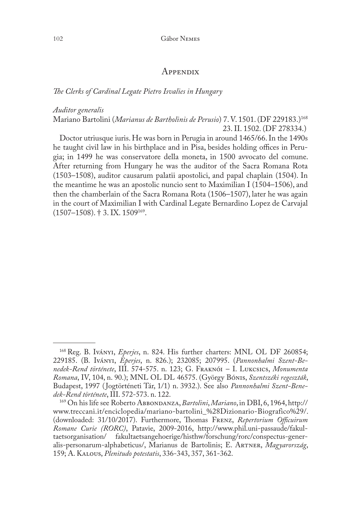#### Appendix

*The Clerks of Cardinal Legate Pietro Isvalies in Hungary*

#### *Auditor generalis*

Mariano Bartolini (*Marianus de Bartholinis de Perusio*) 7. V. 1501. (DF 229183.)168 23. II. 1502. (DF 278334.)

Doctor utriusque iuris. He was born in Perugia in around 1465/66. In the 1490s he taught civil law in his birthplace and in Pisa, besides holding offices in Perugia; in 1499 he was conservatore della moneta, in 1500 avvocato del comune. After returning from Hungary he was the auditor of the Sacra Romana Rota (1503–1508), auditor causarum palatii apostolici, and papal chaplain (1504). In the meantime he was an apostolic nuncio sent to Maximilian I (1504–1506), and then the chamberlain of the Sacra Romana Rota (1506–1507), later he was again in the court of Maximilian I with Cardinal Legate Bernardino Lopez de Carvajal  $(1507-1508)$ . † 3. IX. 1509<sup>169</sup>.

<sup>168</sup> Reg. B. Iványi, *Eperjes*, n. 824. His further charters: MNL OL DF 260854; 229185. (B. Iványi, *Eperjes*, n. 826.); 232085; 207995. (*Pannonhalmi Szent-Benedek-Rend története*, III. 574-575. n. 123; G. Fraknói – I. Lukcsics, *Monumenta Romana*, IV, 104, n. 90.); MNL OL DL 46575. (György Bónis, *Szentszéki regeszták*, Budapest, 1997 ( Jogtörténeti Tár, 1/1) n. 3932.). See also *Pannonhalmi Szent-Benedek-Rend története*, III. 572-573. n. 122.

<sup>169</sup> On his life see Roberto Abbondanza, *Bartolini*, *Mariano*, in DBI, 6, 1964, http:// www.treccani.it/enciclopedia/mariano-bartolini\_%28Dizionario-Biografico%29/. (downloaded: 31/10/2017). Furthermore, Thomas Frenz, *Repertorium Officuirum Romane Curie (RORC)*, Patavie, 2009-2016, http://www.phil.uni-passaude/fakultaetsorganisation/ fakultaetsangehoerige/histhw/forschung/rorc/conspectus-generalis-personarum-alphabeticus/, Marianus de Bartolinis; E. Artner, *Magyarország*, 159; A. Kalous, *Plenitudo potestatis*, 336-343, 357, 361-362.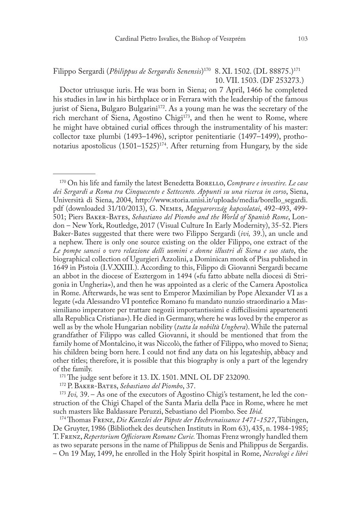Filippo Sergardi (*Philippus de Sergardis Senensis*) <sup>170</sup> 8. XI. 1502. (DL 88875.)171 10. VII. 1503. (DF 253273.)

Doctor utriusque iuris. He was born in Siena; on 7 April, 1466 he completed his studies in law in his birthplace or in Ferrara with the leadership of the famous jurist of Siena, Bulgaro Bulgarini<sup>172</sup>. As a young man he was the secretary of the rich merchant of Siena, Agostino Chigi<sup>173</sup>, and then he went to Rome, where he might have obtained curial offices through the instrumentality of his master: collector taxe plumbi (1493–1496), scriptor penitentiarie (1497–1499), prothonotarius apostolicus (1501–1525)<sup>174</sup>. After returning from Hungary, by the side

<sup>171</sup>The judge sent before it 13. IX. 1501. MNL OL DF 232090.

<sup>172</sup> P. Baker-Bates, *Sebastiano del Piombo*, 37.

<sup>173</sup> *Ivi*, 39. – As one of the executors of Agostino Chigi's testament, he led the construction of the Chigi Chapel of the Santa Maria della Pace in Rome, where he met such masters like Baldassare Peruzzi, Sebastiano del Piombo. See *Ibid.*

174Thomas Frenz, *Die Kanzlei der Päpste der Hochrenaissance 1471-1527*, Tübingen, De Gruyter, 1986 (Bibliothek des deutschen Instituts in Rom 63), 435, n. 1984-1985; T. Frenz, *Repertorium Officiorum Romane Curie.* Thomas Frenz wrongly handled them as two separate persons in the name of Philippus de Senis and Philippus de Sergardis. – On 19 May, 1499, he enrolled in the Holy Spirit hospital in Rome, *Necrologi e libri* 

<sup>&</sup>lt;sup>170</sup> On his life and family the latest Benedetta BORELLO, *Comprare e investire. Le case dei Sergardi a Roma tra Cinquecento e Settecento. Appunti su una ricerca in corso*, Siena, Università di Siena, 2004, http://www.storia.unisi.it/uploads/media/borello\_segardi. pdf (downloaded 31/10/2013), G. Nemes, *Magyarország kapcsolatai*, 492-493, 499- 501; Piers Baker-Bates, *Sebastiano del Piombo and the World of Spanish Rome*, London – New York, Routledge, 2017 (Visual Culture In Early Modernity), 35-52. Piers Baker-Bates suggested that there were two Filippo Sergardi (*ivi,* 39.), an uncle and a nephew. There is only one source existing on the older Filippo, one extract of the *Le pompe sanesi o vero relazione delli uomini e donne illustri di Siena e suo stato*, the biographical collection of Ugurgieri Azzolini, a Dominican monk of Pisa published in 1649 in Pistoia (I.V.XXIII.). According to this, Filippo di Giovanni Sergardi became an abbot in the diocese of Esztergom in 1494 («fu fatto abbate nella diocesi di Strigonia in Ungheria»), and then he was appointed as a cleric of the Camera Apostolica in Rome. Afterwards, he was sent to Emperor Maximilian by Pope Alexander VI as a legate («da Alessandro VI pontefice Romano fu mandato nunzio straordinario a Massimiliano imperatore per trattare negozii importantissimi e difficilissimi appartenenti alla Republica Cristiana»). He died in Germany, where he was loved by the emperor as well as by the whole Hungarian nobility (*tutta la nobiltà Unghera*). While the paternal grandfather of Filippo was called Giovanni, it should be mentioned that from the family home of Montalcino, it was Niccolò, the father of Filippo, who moved to Siena; his children being born here. I could not find any data on his legateship, abbacy and other titles; therefore, it is possible that this biography is only a part of the legendry of the family.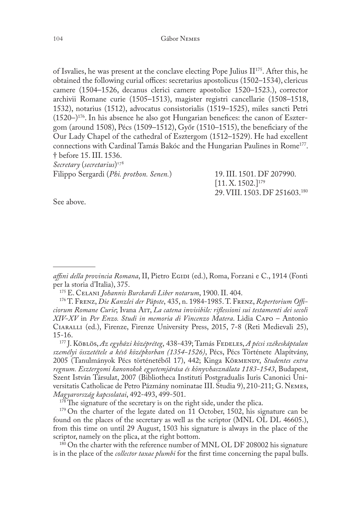of Isvalies, he was present at the conclave electing Pope Julius  $II^{175}$ . After this, he obtained the following curial offices: secretarius apostolicus (1502–1534), clericus camere (1504–1526, decanus clerici camere apostolice 1520–1523.), corrector archivii Romane curie (1505–1513), magister registri cancellarie (1508–1518, 1532), notarius (1512), advocatus consistorialis (1519–1525), miles sancti Petri  $(1520-)$ <sup>176</sup>. In his absence he also got Hungarian benefices: the canon of Esztergom (around 1508), Pécs (1509–1512), Győr (1510–1515), the beneficiary of the Our Lady Chapel of the cathedral of Esztergom (1512–1529). He had excellent connections with Cardinal Tamás Bakóc and the Hungarian Paulines in Rome<sup>177</sup>. † before 15. III. 1536. *Secretary* (*secretarius*) 178

Filippo Sergardi (*Phi. prothon. Senen.*) 19. III. 1501. DF 207990.

 $[11. X. 1502.]^{179}$ 29. VIII. 1503. DF 251603.180

See above.

*affini della provincia Romana*, II, Pietro Egidi (ed.), Roma, Forzani e C., 1914 (Fonti per la storia d'Italia), 375.

<sup>175</sup> E. Celani *Johannis Burckardi Liber notarum*, 1900. II. 404.

<sup>176</sup> T. Frenz, *Die Kanzlei der Päpste*, 435, n. 1984-1985. T. Frenz, *Repertorium Officiorum Romane Curie*; Ivana Ait, *La catena invisibile: riflessioni sui testamenti dei secoli XIV-XV* in *Per Enzo. Studi in memoria di Vincenzo Matera*. Lidia Capo – Antonio Ciaralli (ed.), Firenze, Firenze University Press, 2015, 7-8 (Reti Medievali 25), 15-16.

<sup>177</sup> J. Köblös, *Az egyházi középréteg*, 438-439; Tamás Fedeles, *A pécsi székeskáptalan személyi összetétele a késő középkorban (1354-1526)*, Pécs, Pécs Története Alapítvány, 2005 (Tanulmányok Pécs történetéből 17), 442; Kinga Körmendy, *Studentes extra regnum. Esztergomi kanonokok egyetemjárása és könyvhasználata 1183-1543*, Budapest, Szent István Társulat, 2007 (Bibliotheca Instituti Postgradualis Iuris Canonici Universitatis Catholicae de Petro Pázmány nominatae III. Studia 9), 210-211; G. Nemes, *Magyarország kapcsolatai*, 492-493, 499-501.

 $178$ <sup>The</sup> signature of the secretary is on the right side, under the plica.

<sup>&</sup>lt;sup>179</sup> On the charter of the legate dated on 11 October, 1502, his signature can be found on the places of the secretary as well as the scriptor (MNL OL DL 46605.), from this time on until 29 August, 1503 his signature is always in the place of the

 $180$  On the charter with the reference number of MNL OL DF 208002 his signature is in the place of the *collector taxae plumbi* for the first time concerning the papal bulls.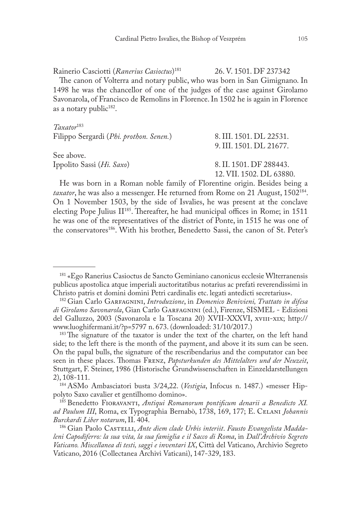Rainerio Casciotti (*Ranerius Casioctus*)

26. V. 1501. DF 237342

The canon of Volterra and notary public, who was born in San Gimignano. In 1498 he was the chancellor of one of the judges of the case against Girolamo Savonarola, of Francisco de Remolins in Florence. In 1502 he is again in Florence as a notary public<sup>182</sup>.

| Taxator <sup>183</sup>                  |                          |
|-----------------------------------------|--------------------------|
| Filippo Sergardi (Phi. prothon. Senen.) | 8. III. 1501. DL 22531.  |
|                                         | 9. III, 1501, DL 21677.  |
| See above.                              |                          |
| Ippolito Sassi ( <i>Hi. Saxo</i> )      | 8. II. 1501. DF 288443.  |
|                                         | 12. VII. 1502. DL 63880. |
|                                         |                          |

He was born in a Roman noble family of Florentine origin. Besides being a taxator, he was also a messenger. He returned from Rome on 21 August, 1502<sup>184</sup>. On 1 November 1503, by the side of Isvalies, he was present at the conclave electing Pope Julius  $II^{185}$ . Thereafter, he had municipal offices in Rome; in 1511 he was one of the representatives of the district of Ponte, in 1515 he was one of the conservatores<sup>186</sup>. With his brother, Benedetto Sassi, the canon of St. Peter's

<sup>181</sup> «Ego Ranerius Casioctus de Sancto Geminiano canonicus ecclesie Wlterranensis publicus apostolica atque imperiali auctoritatibus notarius ac prefati reverendissimi in Christo patris et domini domini Petri cardinalis etc. legati antedicti secretarius».

<sup>182</sup> Gian Carlo Garfagnini, *Introduzione*, in *Domenico Benivieni, Trattato in difesa di Girolamo Savonarola*, Gian Carlo Garfagnini (ed.), Firenze, SISMEL - Edizioni del Galluzzo, 2003 (Savonarola e la Toscana 20) XVII-XXXVI, xviii-xix; http:// www.luoghifermani.it/?p=5797 n. 673. (downloaded: 31/10/2017.)

<sup>&</sup>lt;sup>183</sup>The signature of the taxator is under the text of the charter, on the left hand side; to the left there is the month of the payment, and above it its sum can be seen. On the papal bulls, the signature of the rescribendarius and the computator can bee seen in these places. Thomas Frenz, *Papsturkunden des Mittelalters und der Neuzeit*, Stuttgart, F. Steiner, 1986 (Historische Grundwissenschaften in Einzeldarstellungen 2), 108-111.

<sup>184</sup> ASMo Ambasciatori busta 3/24,22. (*Vestigia*, Infocus n. 1487.) «messer Hippolyto Saxo cavalier et gentilhomo domino».

<sup>&</sup>lt;sup>185</sup> Benedetto FIORAVANTI, Antiqui Romanorum pontificum denarii a Benedicto XI. *ad Paulum III*, Roma, ex Typographia Bernabò, 1738, 169, 177; E. Celani *Johannis Burckardi Liber notarum*, II. 404.

<sup>&</sup>lt;sup>186</sup> Gian Paolo CASTELLI, Ante diem clade Urbis interiit. Fausto Evangelista Madda*leni Capodiferro: la sua vita, la sua famiglia e il Sacco di Roma*, in *Dall'Archivio Segreto Vaticano. Miscellanea di testi, saggi e inventari IX*, Città del Vaticano, Archivio Segreto Vaticano, 2016 (Collectanea Archivi Vaticani), 147-329, 183.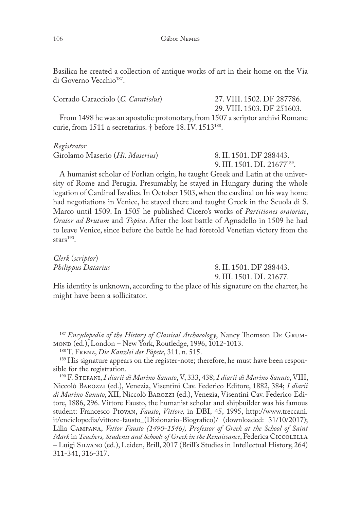Basilica he created a collection of antique works of art in their home on the Via di Governo Vecchio<sup>187</sup>.

Corrado Caracciolo (*C. Caratiolus*) 27. VIII. 1502. DF 287786. 29. VIII. 1503. DF 251603. From 1498 he was an apostolic protonotary, from 1507 a scriptor archivi Romane curie, from 1511 a secretarius. † before 18. IV. 1513<sup>188</sup>.

#### *Registrator*

Girolamo Maserio (*Hi. Maserius*) 8. II. 1501. DF 288443.

9. III. 1501. DL 21677189.

A humanist scholar of Forlìan origin, he taught Greek and Latin at the university of Rome and Perugia. Presumably, he stayed in Hungary during the whole legation of Cardinal Isvalies. In October 1503, when the cardinal on his way home had negotiations in Venice, he stayed there and taught Greek in the Scuola di S. Marco until 1509. In 1505 he published Cicero's works of *Partitiones oratoriae*, *Orator ad Brutum* and *Topica*. After the lost battle of Agnadello in 1509 he had to leave Venice, since before the battle he had foretold Venetian victory from the stars $190$ .

*Clerk* (*scriptor*)

*Philippus Datarius* 8. II. 1501. DF 288443. 9. III. 1501. DL 21677.

His identity is unknown, according to the place of his signature on the charter, he might have been a sollicitator.

<sup>187</sup> *Encyclopedia of the History of Classical Archaeology*, Nancy Thomson De Grummond (ed.), London – New York, Routledge, 1996, 1012-1013.

<sup>188</sup> T. Frenz, *Die Kanzlei der Päpste*, 311. n. 515.

<sup>&</sup>lt;sup>189</sup> His signature appears on the register-note; therefore, he must have been respon-<br>sible for the registration.

sible for the registration. 190 F. Stefani,*I diarii di Marino Sanuto*, V, 333, 438; *I diarii di Marino Sanuto*, VIII, Niccolò Barozzi (ed.), Venezia, Visentini Cav. Federico Editore, 1882, 384; *I diarii di Marino Sanuto*, XII, Niccolò Barozzi (ed.), Venezia, Visentini Cav. Federico Editore, 1886, 296. Vittore Fausto, the humanist scholar and shipbuilder was his famous student: Francesco Piovan, *Fausto*, *Vittore,* in DBI, 45, 1995, http://www.treccani. it/enciclopedia/vittore-fausto\_(Dizionario-Biografico)/ (downloaded: 31/10/2017); Lilia Campana, *Vettor Fausto (1490-1546), Professor of Greek at the School of Saint Mark* in *Teachers, Students and Schools of Greek in the Renaissance*, Federica CICCOLELLA – Luigi Silvano (ed.), Leiden, Brill, 2017 (Brill's Studies in Intellectual History, 264) 311-341, 316-317.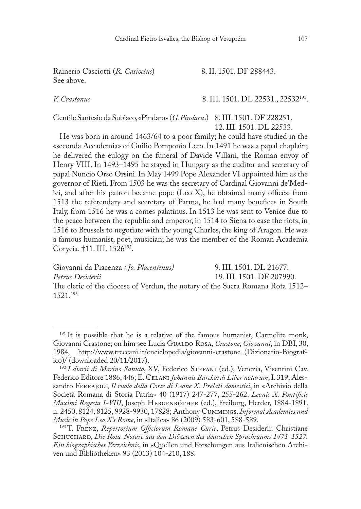Rainerio Casciotti (*R. Casioctus*) 8. II. 1501. DF 288443. See above.

*V. Crastonus* 8. III. 1501. DL 22531., 22532<sup>191</sup>.

*Petrus Desiderii* 19. III. 1501. DF 207990.

Gentile Santesio da Subiaco, «Pindaro» (*G. Pindarus*) 8. III. 1501. DF 228251. 12. III. 1501. DL 22533.

He was born in around 1463/64 to a poor family; he could have studied in the «seconda Accademia» of Guilio Pomponio Leto. In 1491 he was a papal chaplain; he delivered the eulogy on the funeral of Davide Villani, the Roman envoy of Henry VIII. In 1493–1495 he stayed in Hungary as the auditor and secretary of papal Nuncio Orso Orsini. In May 1499 Pope Alexander VI appointed him as the governor of Rieti. From 1503 he was the secretary of Cardinal Giovanni de'Medici, and after his patron became pope (Leo X), he obtained many offices: from 1513 the referendary and secretary of Parma, he had many benefices in South Italy, from 1516 he was a comes palatinus. In 1513 he was sent to Venice due to the peace between the republic and emperor, in 1514 to Siena to ease the riots, in 1516 to Brussels to negotiate with the young Charles, the king of Aragon. He was a famous humanist, poet, musician; he was the member of the Roman Academia Corycia. †11. III. 1526<sup>192</sup>.

Giovanni da Piacenza *( Jo. Placentinus)* 9. III. 1501. DL 21677.

The cleric of the diocese of Verdun, the notary of the Sacra Romana Rota 1512– 1521.193

 $191$  It is possible that he is a relative of the famous humanist, Carmelite monk, Giovanni Crastone; on him see Lucia Gualdo Rosa, *Crastone*, *Giovanni*, in DBI, 30, 1984, http://www.treccani.it/enciclopedia/giovanni-crastone\_(Dizionario-Biografico)/ (downloaded 20/11/2017).

<sup>&</sup>lt;sup>192</sup> I diarii di Marino Sanuto, XV, Federico STEFANI (ed.), Venezia, Visentini Cav. Federico Editore 1886, 446; E. Celani *Johannis Burckardi Liber notarum*, I. 319; Alessandro Ferrajoli, *Il ruolo della Corte di Leone X. Prelati domestici*, in «Archivio della Società Romana di Storia Patria» 40 (1917) 247-277, 255-262. *Leonis X. Pontificis Maximi Regesta I-VIII*, Joseph Hergenröther (ed.), Freiburg, Herder, 1884-1891. n. 2450, 8124, 8125, 9928-9930, 17828; Anthony Cummings, *Informal Academies and Music in Pope Leo X's Rome*, in «Italica» 86 (2009) 583-601, 588-589.

<sup>193</sup> T. Frenz, *Repertorium Officiorum Romane Curie*, Petrus Desiderii; Christiane Schuchard, *Die Rota-Notare aus den Diözesen des deutschen Sprachraums 1471-1527. Ein biographisches Verzeichnis*, in «Quellen und Forschungen aus Italienischen Archiven und Bibliotheken» 93 (2013) 104-210, 188.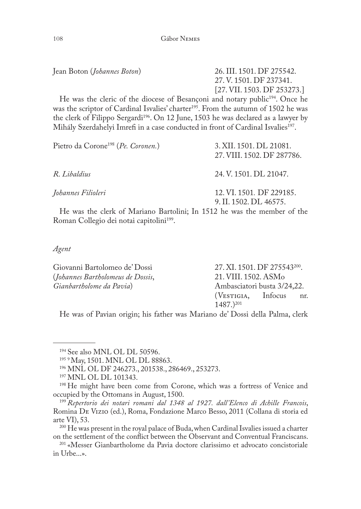| Jean Boton ( <i>Johannes Boton</i> ) | 26. III. 1501. DF 275542.                                                                  |
|--------------------------------------|--------------------------------------------------------------------------------------------|
|                                      | 27. V. 1501. DF 237341.                                                                    |
|                                      | [27. VII. 1503. DF 253273.]                                                                |
|                                      | $\mu_{\rm g}$ and the class of the diagons of Reseponsional patent public $^{194}$ Ones be |

He was the cleric of the diocese of Besançoni and notary public<sup>194</sup>. Once he was the scriptor of Cardinal Isvalies' charter<sup>195</sup>. From the autumn of 1502 he was the clerk of Filippo Sergardi<sup>196</sup>. On 12 June, 1503 he was declared as a lawyer by Mihály Szerdahelyi Imrefi in a case conducted in front of Cardinal Isvalies<sup>197</sup>.

| Pietro da Corone <sup>198</sup> ( <i>Pe. Coronen.</i> ) | 3. XII. 1501. DL 21081.<br>27. VIII, 1502, DF 287786. |
|---------------------------------------------------------|-------------------------------------------------------|
| R. Libaldius                                            | 24 V 1501 DL 21047                                    |
| Johannes Filioleri                                      | 12. VI. 1501. DF 229185.<br>9. II. 1502. DL 46575.    |

He was the clerk of Mariano Bartolini; In 1512 he was the member of the Roman Collegio dei notai capitolini<sup>199</sup>.

*Agent*

Giovanni Bartolomeo de' Dossi 27. XI. 1501. DF 275543<sup>200</sup>.<br>(*Iohannes Bartholomeus de Dossis.* 21. VIII. 1502. ASMo (Johannes Bartholomeus de Dossis,<br>Gianbartholome da Pavia) Ambasciatori busta 3/24,22.<br>(VESTIGIA, Infocus n (VESTIGIA, Infocus nr. 1487.)201

He was of Pavian origin; his father was Mariano de' Dossi della Palma, clerk

<sup>194</sup> See also MNL OL DL 50596.

<sup>195 9</sup> May, 1501. MNL OL DL 88863.

<sup>196</sup> MNL OL DF 246273., 201538., 286469., 253273.

<sup>197</sup> MNL OL DL 101343.

<sup>&</sup>lt;sup>198</sup> He might have been come from Corone, which was a fortress of Venice and occupied by the Ottomans in August, 1500.

<sup>&</sup>lt;sup>199</sup> Repertorio dei notari romani dal 1348 al 1927. dall'Elenco di Achille Francois, Romina De Vizio (ed.), Roma, Fondazione Marco Besso, 2011 (Collana di storia ed arte VI), 53.

<sup>200</sup> He was present in the royal palace of Buda, when Cardinal Isvalies issued a charter on the settlement of the conflict between the Observant and Conventual Franciscans.

<sup>201</sup> «Messer Gianbartholome da Pavia doctore clarissimo et advocato concistoriale in Urbe...